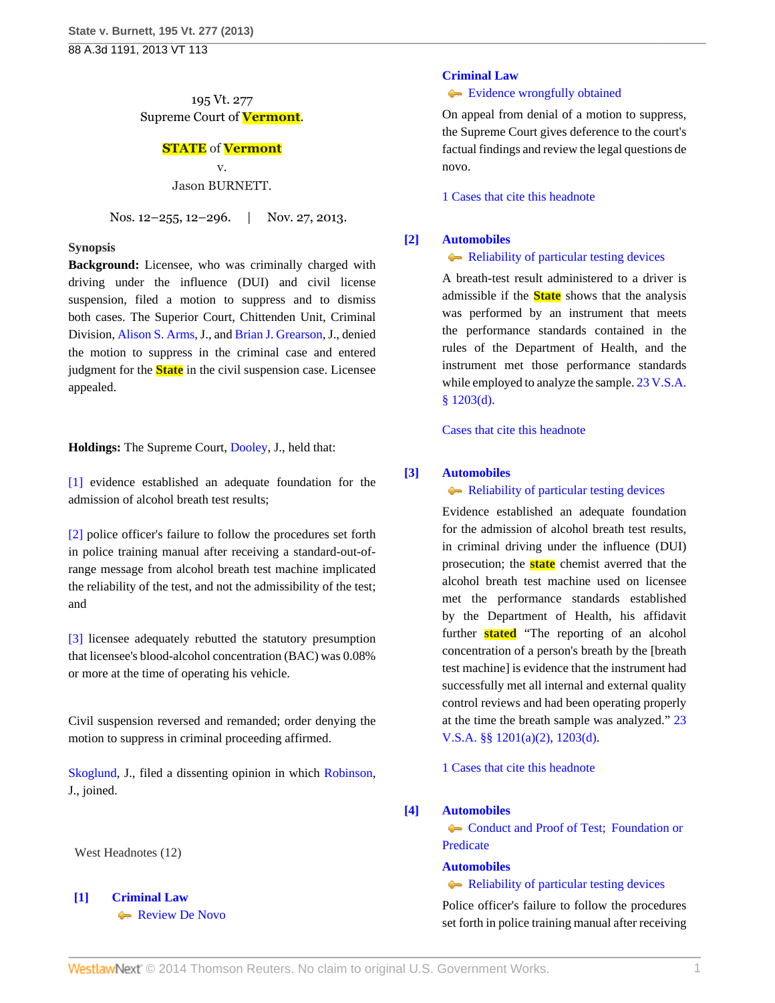195 Vt. 277 Supreme Court of **Vermont**.

# **STATE** of **Vermont**

v. Jason BURNETT.

Nos. 12–255, 12–296. | Nov. 27, 2013.

### **Synopsis**

**Background:** Licensee, who was criminally charged with driving under the influence (DUI) and civil license suspension, filed a motion to suppress and to dismiss both cases. The Superior Court, Chittenden Unit, Criminal Division, [Alison S. Arms,](http://www.westlaw.com/Link/Document/FullText?findType=h&pubNum=176284&cite=0105313802&originatingDoc=I14fa0271576111e3a341ea44e5e1f25f&refType=RQ&originationContext=document&vr=3.0&rs=cblt1.0&transitionType=DocumentItem&contextData=(sc.Search)) J., and [Brian J. Grearson,](http://www.westlaw.com/Link/Document/FullText?findType=h&pubNum=176284&cite=0284617401&originatingDoc=I14fa0271576111e3a341ea44e5e1f25f&refType=RQ&originationContext=document&vr=3.0&rs=cblt1.0&transitionType=DocumentItem&contextData=(sc.Search)) J., denied the motion to suppress in the criminal case and entered judgment for the **State** in the civil suspension case. Licensee appealed.

**Holdings:** The Supreme Court, [Dooley,](http://www.westlaw.com/Link/Document/FullText?findType=h&pubNum=176284&cite=0264531601&originatingDoc=I14fa0271576111e3a341ea44e5e1f25f&refType=RQ&originationContext=document&vr=3.0&rs=cblt1.0&transitionType=DocumentItem&contextData=(sc.Search)) J., held that:

[\[1\]](#page-0-0) evidence established an adequate foundation for the admission of alcohol breath test results;

[\[2\]](#page-0-1) police officer's failure to follow the procedures set forth in police training manual after receiving a standard-out-ofrange message from alcohol breath test machine implicated the reliability of the test, and not the admissibility of the test; and

[\[3\]](#page-1-0) licensee adequately rebutted the statutory presumption that licensee's blood-alcohol concentration (BAC) was 0.08% or more at the time of operating his vehicle.

Civil suspension reversed and remanded; order denying the motion to suppress in criminal proceeding affirmed.

[Skoglund](http://www.westlaw.com/Link/Document/FullText?findType=h&pubNum=176284&cite=0197190101&originatingDoc=I14fa0271576111e3a341ea44e5e1f25f&refType=RQ&originationContext=document&vr=3.0&rs=cblt1.0&transitionType=DocumentItem&contextData=(sc.Search)), J., filed a dissenting opinion in which [Robinson](http://www.westlaw.com/Link/Document/FullText?findType=h&pubNum=176284&cite=0175240301&originatingDoc=I14fa0271576111e3a341ea44e5e1f25f&refType=RQ&originationContext=document&vr=3.0&rs=cblt1.0&transitionType=DocumentItem&contextData=(sc.Search)), J., joined.

West Headnotes (12)

<span id="page-0-2"></span>**[\[1\]](#page-4-0) [Criminal Law](http://www.westlaw.com/Browse/Home/KeyNumber/110/View.html?docGuid=I14fa0271576111e3a341ea44e5e1f25f&originationContext=document&vr=3.0&rs=cblt1.0&transitionType=DocumentItem&contextData=(sc.Search))** [Review De Novo](http://www.westlaw.com/Browse/Home/KeyNumber/110XXIV(L)13/View.html?docGuid=I14fa0271576111e3a341ea44e5e1f25f&originationContext=document&vr=3.0&rs=cblt1.0&transitionType=DocumentItem&contextData=(sc.Search))

# **[Criminal Law](http://www.westlaw.com/Browse/Home/KeyNumber/110/View.html?docGuid=I14fa0271576111e3a341ea44e5e1f25f&originationContext=document&vr=3.0&rs=cblt1.0&transitionType=DocumentItem&contextData=(sc.Search))**

[Evidence wrongfully obtained](http://www.westlaw.com/Browse/Home/KeyNumber/110k1158.12/View.html?docGuid=I14fa0271576111e3a341ea44e5e1f25f&originationContext=document&vr=3.0&rs=cblt1.0&transitionType=DocumentItem&contextData=(sc.Search))

On appeal from denial of a motion to suppress, the Supreme Court gives deference to the court's factual findings and review the legal questions de novo.

[1 Cases that cite this headnote](http://www.westlaw.com/Link/RelatedInformation/DocHeadnoteLink?docGuid=I14fa0271576111e3a341ea44e5e1f25f&headnoteId=203214650200120141123080807&originationContext=document&vr=3.0&rs=cblt1.0&transitionType=CitingReferences&contextData=(sc.Search))

# <span id="page-0-3"></span>**[\[2\]](#page-4-1) [Automobiles](http://www.westlaw.com/Browse/Home/KeyNumber/48A/View.html?docGuid=I14fa0271576111e3a341ea44e5e1f25f&originationContext=document&vr=3.0&rs=cblt1.0&transitionType=DocumentItem&contextData=(sc.Search))**

**[Reliability of particular testing devices](http://www.westlaw.com/Browse/Home/KeyNumber/48Ak424/View.html?docGuid=I14fa0271576111e3a341ea44e5e1f25f&originationContext=document&vr=3.0&rs=cblt1.0&transitionType=DocumentItem&contextData=(sc.Search))** 

A breath-test result administered to a driver is admissible if the **State** shows that the analysis was performed by an instrument that meets the performance standards contained in the rules of the Department of Health, and the instrument met those performance standards while employed to analyze the sample. [23 V.S.A.](http://www.westlaw.com/Link/Document/FullText?findType=L&pubNum=1000883&cite=VTST23S1203&originatingDoc=I14fa0271576111e3a341ea44e5e1f25f&refType=SP&originationContext=document&vr=3.0&rs=cblt1.0&transitionType=DocumentItem&contextData=(sc.Search)#co_pp_5ba1000067d06) [§ 1203\(d\).](http://www.westlaw.com/Link/Document/FullText?findType=L&pubNum=1000883&cite=VTST23S1203&originatingDoc=I14fa0271576111e3a341ea44e5e1f25f&refType=SP&originationContext=document&vr=3.0&rs=cblt1.0&transitionType=DocumentItem&contextData=(sc.Search)#co_pp_5ba1000067d06)

[Cases that cite this headnote](http://www.westlaw.com/Link/RelatedInformation/DocHeadnoteLink?docGuid=I14fa0271576111e3a341ea44e5e1f25f&headnoteId=203214650200220141123080807&originationContext=document&vr=3.0&rs=cblt1.0&transitionType=CitingReferences&contextData=(sc.Search))

# <span id="page-0-0"></span>**[\[3\]](#page-4-2) [Automobiles](http://www.westlaw.com/Browse/Home/KeyNumber/48A/View.html?docGuid=I14fa0271576111e3a341ea44e5e1f25f&originationContext=document&vr=3.0&rs=cblt1.0&transitionType=DocumentItem&contextData=(sc.Search))**

#### [Reliability of particular testing devices](http://www.westlaw.com/Browse/Home/KeyNumber/48Ak424/View.html?docGuid=I14fa0271576111e3a341ea44e5e1f25f&originationContext=document&vr=3.0&rs=cblt1.0&transitionType=DocumentItem&contextData=(sc.Search))

Evidence established an adequate foundation for the admission of alcohol breath test results, in criminal driving under the influence (DUI) prosecution; the **state** chemist averred that the alcohol breath test machine used on licensee met the performance standards established by the Department of Health, his affidavit further **stated** "The reporting of an alcohol concentration of a person's breath by the [breath test machine] is evidence that the instrument had successfully met all internal and external quality control reviews and had been operating properly at the time the breath sample was analyzed." [23](http://www.westlaw.com/Link/Document/FullText?findType=L&pubNum=1000883&cite=VTST23S1201&originatingDoc=I14fa0271576111e3a341ea44e5e1f25f&refType=SP&originationContext=document&vr=3.0&rs=cblt1.0&transitionType=DocumentItem&contextData=(sc.Search)#co_pp_d86d0000be040) [V.S.A. §§ 1201\(a\)\(2\),](http://www.westlaw.com/Link/Document/FullText?findType=L&pubNum=1000883&cite=VTST23S1201&originatingDoc=I14fa0271576111e3a341ea44e5e1f25f&refType=SP&originationContext=document&vr=3.0&rs=cblt1.0&transitionType=DocumentItem&contextData=(sc.Search)#co_pp_d86d0000be040) [1203\(d\)](http://www.westlaw.com/Link/Document/FullText?findType=L&pubNum=1000883&cite=VTST23S1203&originatingDoc=I14fa0271576111e3a341ea44e5e1f25f&refType=SP&originationContext=document&vr=3.0&rs=cblt1.0&transitionType=DocumentItem&contextData=(sc.Search)#co_pp_5ba1000067d06).

[1 Cases that cite this headnote](http://www.westlaw.com/Link/RelatedInformation/DocHeadnoteLink?docGuid=I14fa0271576111e3a341ea44e5e1f25f&headnoteId=203214650200320141123080807&originationContext=document&vr=3.0&rs=cblt1.0&transitionType=CitingReferences&contextData=(sc.Search))

### <span id="page-0-1"></span>**[\[4\]](#page-4-3) [Automobiles](http://www.westlaw.com/Browse/Home/KeyNumber/48A/View.html?docGuid=I14fa0271576111e3a341ea44e5e1f25f&originationContext=document&vr=3.0&rs=cblt1.0&transitionType=DocumentItem&contextData=(sc.Search))**

[Conduct and Proof of Test; Foundation or](http://www.westlaw.com/Browse/Home/KeyNumber/48Ak422/View.html?docGuid=I14fa0271576111e3a341ea44e5e1f25f&originationContext=document&vr=3.0&rs=cblt1.0&transitionType=DocumentItem&contextData=(sc.Search)) [Predicate](http://www.westlaw.com/Browse/Home/KeyNumber/48Ak422/View.html?docGuid=I14fa0271576111e3a341ea44e5e1f25f&originationContext=document&vr=3.0&rs=cblt1.0&transitionType=DocumentItem&contextData=(sc.Search))

# **[Automobiles](http://www.westlaw.com/Browse/Home/KeyNumber/48A/View.html?docGuid=I14fa0271576111e3a341ea44e5e1f25f&originationContext=document&vr=3.0&rs=cblt1.0&transitionType=DocumentItem&contextData=(sc.Search))**

[Reliability of particular testing devices](http://www.westlaw.com/Browse/Home/KeyNumber/48Ak424/View.html?docGuid=I14fa0271576111e3a341ea44e5e1f25f&originationContext=document&vr=3.0&rs=cblt1.0&transitionType=DocumentItem&contextData=(sc.Search))

Police officer's failure to follow the procedures set forth in police training manual after receiving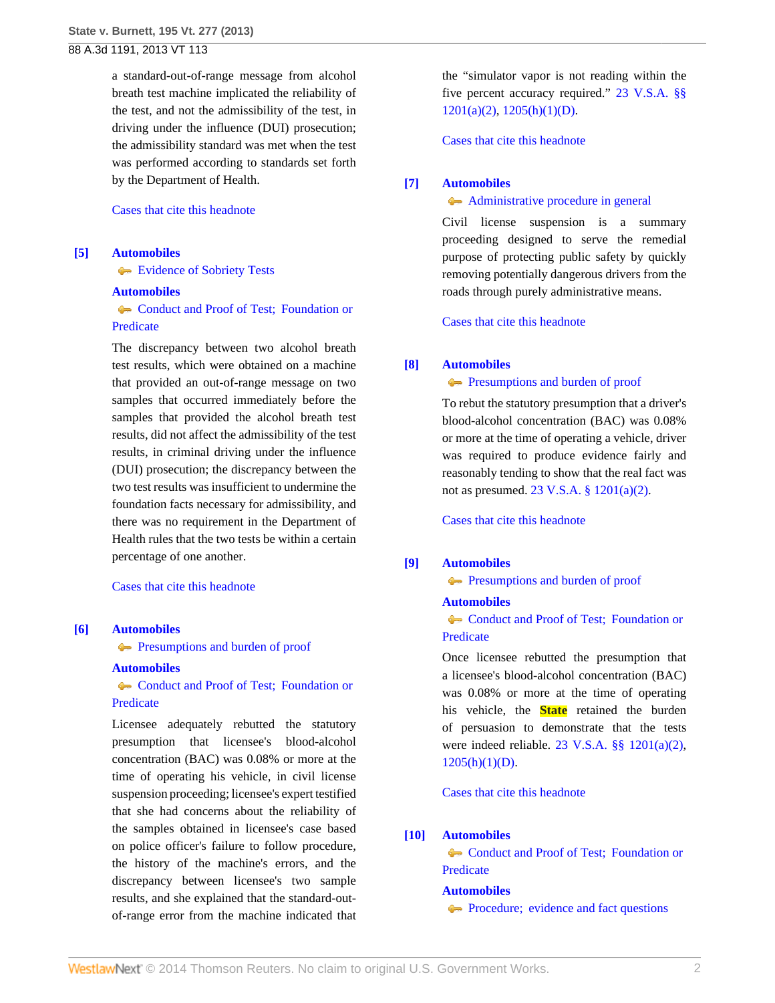a standard-out-of-range message from alcohol breath test machine implicated the reliability of the test, and not the admissibility of the test, in driving under the influence (DUI) prosecution; the admissibility standard was met when the test was performed according to standards set forth by the Department of Health.

## [Cases that cite this headnote](http://www.westlaw.com/Link/RelatedInformation/DocHeadnoteLink?docGuid=I14fa0271576111e3a341ea44e5e1f25f&headnoteId=203214650200420141123080807&originationContext=document&vr=3.0&rs=cblt1.0&transitionType=CitingReferences&contextData=(sc.Search))

## <span id="page-1-1"></span>**[\[5\]](#page-5-0) [Automobiles](http://www.westlaw.com/Browse/Home/KeyNumber/48A/View.html?docGuid=I14fa0271576111e3a341ea44e5e1f25f&originationContext=document&vr=3.0&rs=cblt1.0&transitionType=DocumentItem&contextData=(sc.Search))**

**[Evidence of Sobriety Tests](http://www.westlaw.com/Browse/Home/KeyNumber/48AIX/View.html?docGuid=I14fa0271576111e3a341ea44e5e1f25f&originationContext=document&vr=3.0&rs=cblt1.0&transitionType=DocumentItem&contextData=(sc.Search))** 

## **[Automobiles](http://www.westlaw.com/Browse/Home/KeyNumber/48A/View.html?docGuid=I14fa0271576111e3a341ea44e5e1f25f&originationContext=document&vr=3.0&rs=cblt1.0&transitionType=DocumentItem&contextData=(sc.Search))**

[Conduct and Proof of Test; Foundation or](http://www.westlaw.com/Browse/Home/KeyNumber/48Ak422/View.html?docGuid=I14fa0271576111e3a341ea44e5e1f25f&originationContext=document&vr=3.0&rs=cblt1.0&transitionType=DocumentItem&contextData=(sc.Search)) [Predicate](http://www.westlaw.com/Browse/Home/KeyNumber/48Ak422/View.html?docGuid=I14fa0271576111e3a341ea44e5e1f25f&originationContext=document&vr=3.0&rs=cblt1.0&transitionType=DocumentItem&contextData=(sc.Search))

The discrepancy between two alcohol breath test results, which were obtained on a machine that provided an out-of-range message on two samples that occurred immediately before the samples that provided the alcohol breath test results, did not affect the admissibility of the test results, in criminal driving under the influence (DUI) prosecution; the discrepancy between the two test results was insufficient to undermine the foundation facts necessary for admissibility, and there was no requirement in the Department of Health rules that the two tests be within a certain percentage of one another.

[Cases that cite this headnote](http://www.westlaw.com/Link/RelatedInformation/DocHeadnoteLink?docGuid=I14fa0271576111e3a341ea44e5e1f25f&headnoteId=203214650200520141123080807&originationContext=document&vr=3.0&rs=cblt1.0&transitionType=CitingReferences&contextData=(sc.Search))

# <span id="page-1-0"></span>**[\[6\]](#page-5-1) [Automobiles](http://www.westlaw.com/Browse/Home/KeyNumber/48A/View.html?docGuid=I14fa0271576111e3a341ea44e5e1f25f&originationContext=document&vr=3.0&rs=cblt1.0&transitionType=DocumentItem&contextData=(sc.Search))**

**[Presumptions and burden of proof](http://www.westlaw.com/Browse/Home/KeyNumber/48Ak144.2(9.6)/View.html?docGuid=I14fa0271576111e3a341ea44e5e1f25f&originationContext=document&vr=3.0&rs=cblt1.0&transitionType=DocumentItem&contextData=(sc.Search))** 

#### **[Automobiles](http://www.westlaw.com/Browse/Home/KeyNumber/48A/View.html?docGuid=I14fa0271576111e3a341ea44e5e1f25f&originationContext=document&vr=3.0&rs=cblt1.0&transitionType=DocumentItem&contextData=(sc.Search))**

• Conduct and Proof of Test: Foundation or [Predicate](http://www.westlaw.com/Browse/Home/KeyNumber/48Ak422/View.html?docGuid=I14fa0271576111e3a341ea44e5e1f25f&originationContext=document&vr=3.0&rs=cblt1.0&transitionType=DocumentItem&contextData=(sc.Search))

Licensee adequately rebutted the statutory presumption that licensee's blood-alcohol concentration (BAC) was 0.08% or more at the time of operating his vehicle, in civil license suspension proceeding; licensee's expert testified that she had concerns about the reliability of the samples obtained in licensee's case based on police officer's failure to follow procedure, the history of the machine's errors, and the discrepancy between licensee's two sample results, and she explained that the standard-outof-range error from the machine indicated that

the "simulator vapor is not reading within the five percent accuracy required." [23 V.S.A. §§](http://www.westlaw.com/Link/Document/FullText?findType=L&pubNum=1000883&cite=VTST23S1201&originatingDoc=I14fa0271576111e3a341ea44e5e1f25f&refType=SP&originationContext=document&vr=3.0&rs=cblt1.0&transitionType=DocumentItem&contextData=(sc.Search)#co_pp_d86d0000be040)  $1201(a)(2)$ ,  $1205(h)(1)(D)$ .

[Cases that cite this headnote](http://www.westlaw.com/Link/RelatedInformation/DocHeadnoteLink?docGuid=I14fa0271576111e3a341ea44e5e1f25f&headnoteId=203214650200620141123080807&originationContext=document&vr=3.0&rs=cblt1.0&transitionType=CitingReferences&contextData=(sc.Search))

# <span id="page-1-2"></span>**[\[7\]](#page-5-2) [Automobiles](http://www.westlaw.com/Browse/Home/KeyNumber/48A/View.html?docGuid=I14fa0271576111e3a341ea44e5e1f25f&originationContext=document&vr=3.0&rs=cblt1.0&transitionType=DocumentItem&contextData=(sc.Search))**

## [Administrative procedure in general](http://www.westlaw.com/Browse/Home/KeyNumber/48Ak144.2(1)/View.html?docGuid=I14fa0271576111e3a341ea44e5e1f25f&originationContext=document&vr=3.0&rs=cblt1.0&transitionType=DocumentItem&contextData=(sc.Search))

Civil license suspension is a summary proceeding designed to serve the remedial purpose of protecting public safety by quickly removing potentially dangerous drivers from the roads through purely administrative means.

[Cases that cite this headnote](http://www.westlaw.com/Link/RelatedInformation/DocHeadnoteLink?docGuid=I14fa0271576111e3a341ea44e5e1f25f&headnoteId=203214650200720141123080807&originationContext=document&vr=3.0&rs=cblt1.0&transitionType=CitingReferences&contextData=(sc.Search))

# <span id="page-1-3"></span>**[\[8\]](#page-6-0) [Automobiles](http://www.westlaw.com/Browse/Home/KeyNumber/48A/View.html?docGuid=I14fa0271576111e3a341ea44e5e1f25f&originationContext=document&vr=3.0&rs=cblt1.0&transitionType=DocumentItem&contextData=(sc.Search))**

**[Presumptions and burden of proof](http://www.westlaw.com/Browse/Home/KeyNumber/48Ak144.2(9.6)/View.html?docGuid=I14fa0271576111e3a341ea44e5e1f25f&originationContext=document&vr=3.0&rs=cblt1.0&transitionType=DocumentItem&contextData=(sc.Search))** 

To rebut the statutory presumption that a driver's blood-alcohol concentration (BAC) was 0.08% or more at the time of operating a vehicle, driver was required to produce evidence fairly and reasonably tending to show that the real fact was not as presumed. [23 V.S.A. § 1201\(a\)\(2\)](http://www.westlaw.com/Link/Document/FullText?findType=L&pubNum=1000883&cite=VTST23S1201&originatingDoc=I14fa0271576111e3a341ea44e5e1f25f&refType=SP&originationContext=document&vr=3.0&rs=cblt1.0&transitionType=DocumentItem&contextData=(sc.Search)#co_pp_d86d0000be040).

[Cases that cite this headnote](http://www.westlaw.com/Link/RelatedInformation/DocHeadnoteLink?docGuid=I14fa0271576111e3a341ea44e5e1f25f&headnoteId=203214650200820141123080807&originationContext=document&vr=3.0&rs=cblt1.0&transitionType=CitingReferences&contextData=(sc.Search))

# <span id="page-1-4"></span>**[\[9\]](#page-7-0) [Automobiles](http://www.westlaw.com/Browse/Home/KeyNumber/48A/View.html?docGuid=I14fa0271576111e3a341ea44e5e1f25f&originationContext=document&vr=3.0&rs=cblt1.0&transitionType=DocumentItem&contextData=(sc.Search))**

**[Presumptions and burden of proof](http://www.westlaw.com/Browse/Home/KeyNumber/48Ak144.2(9.6)/View.html?docGuid=I14fa0271576111e3a341ea44e5e1f25f&originationContext=document&vr=3.0&rs=cblt1.0&transitionType=DocumentItem&contextData=(sc.Search))** 

# **[Automobiles](http://www.westlaw.com/Browse/Home/KeyNumber/48A/View.html?docGuid=I14fa0271576111e3a341ea44e5e1f25f&originationContext=document&vr=3.0&rs=cblt1.0&transitionType=DocumentItem&contextData=(sc.Search))**

Conduct and Proof of Test: Foundation or [Predicate](http://www.westlaw.com/Browse/Home/KeyNumber/48Ak422/View.html?docGuid=I14fa0271576111e3a341ea44e5e1f25f&originationContext=document&vr=3.0&rs=cblt1.0&transitionType=DocumentItem&contextData=(sc.Search))

Once licensee rebutted the presumption that a licensee's blood-alcohol concentration (BAC) was 0.08% or more at the time of operating his vehicle, the **State** retained the burden of persuasion to demonstrate that the tests were indeed reliable. [23 V.S.A. §§ 1201\(a\)\(2\)](http://www.westlaw.com/Link/Document/FullText?findType=L&pubNum=1000883&cite=VTST23S1201&originatingDoc=I14fa0271576111e3a341ea44e5e1f25f&refType=SP&originationContext=document&vr=3.0&rs=cblt1.0&transitionType=DocumentItem&contextData=(sc.Search)#co_pp_d86d0000be040),  $1205(h)(1)(D)$ .

[Cases that cite this headnote](http://www.westlaw.com/Link/RelatedInformation/DocHeadnoteLink?docGuid=I14fa0271576111e3a341ea44e5e1f25f&headnoteId=203214650200920141123080807&originationContext=document&vr=3.0&rs=cblt1.0&transitionType=CitingReferences&contextData=(sc.Search))

# <span id="page-1-5"></span>**[\[10\]](#page-7-1) [Automobiles](http://www.westlaw.com/Browse/Home/KeyNumber/48A/View.html?docGuid=I14fa0271576111e3a341ea44e5e1f25f&originationContext=document&vr=3.0&rs=cblt1.0&transitionType=DocumentItem&contextData=(sc.Search))**

Conduct and Proof of Test: Foundation or [Predicate](http://www.westlaw.com/Browse/Home/KeyNumber/48Ak422/View.html?docGuid=I14fa0271576111e3a341ea44e5e1f25f&originationContext=document&vr=3.0&rs=cblt1.0&transitionType=DocumentItem&contextData=(sc.Search))

# **[Automobiles](http://www.westlaw.com/Browse/Home/KeyNumber/48A/View.html?docGuid=I14fa0271576111e3a341ea44e5e1f25f&originationContext=document&vr=3.0&rs=cblt1.0&transitionType=DocumentItem&contextData=(sc.Search))**

**[Procedure; evidence and fact questions](http://www.westlaw.com/Browse/Home/KeyNumber/48Ak426/View.html?docGuid=I14fa0271576111e3a341ea44e5e1f25f&originationContext=document&vr=3.0&rs=cblt1.0&transitionType=DocumentItem&contextData=(sc.Search))**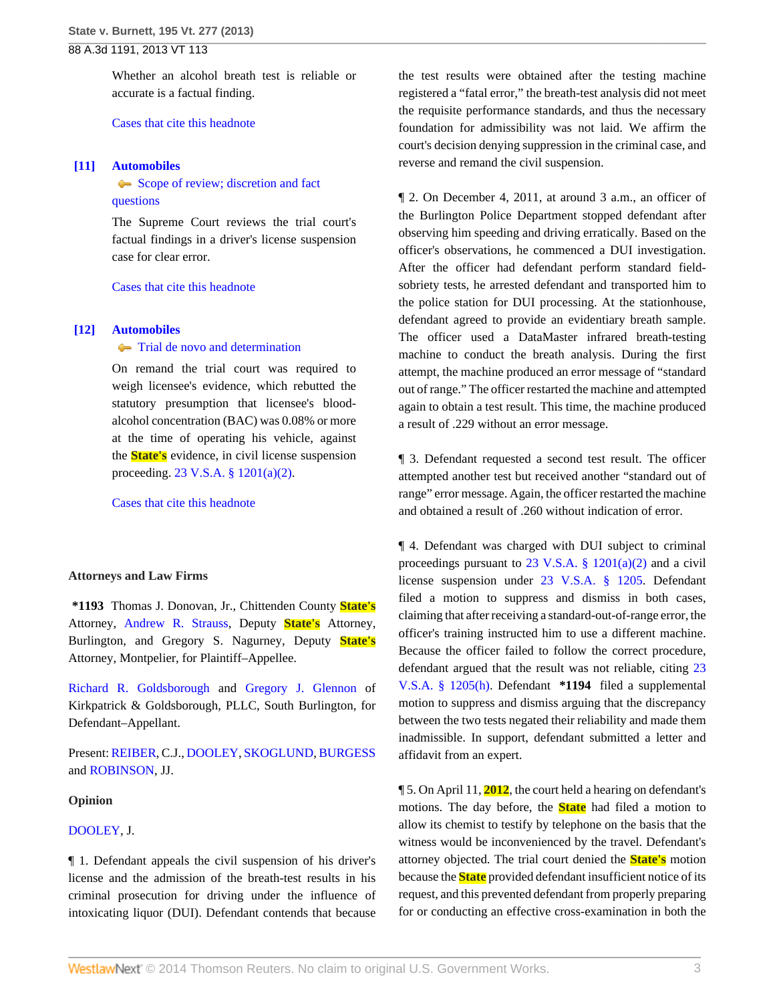Whether an alcohol breath test is reliable or accurate is a factual finding.

[Cases that cite this headnote](http://www.westlaw.com/Link/RelatedInformation/DocHeadnoteLink?docGuid=I14fa0271576111e3a341ea44e5e1f25f&headnoteId=203214650201020141123080807&originationContext=document&vr=3.0&rs=cblt1.0&transitionType=CitingReferences&contextData=(sc.Search))

## <span id="page-2-0"></span>**[\[11\]](#page-7-2) [Automobiles](http://www.westlaw.com/Browse/Home/KeyNumber/48A/View.html?docGuid=I14fa0271576111e3a341ea44e5e1f25f&originationContext=document&vr=3.0&rs=cblt1.0&transitionType=DocumentItem&contextData=(sc.Search))**

[Scope of review; discretion and fact](http://www.westlaw.com/Browse/Home/KeyNumber/48Ak144.2(3)/View.html?docGuid=I14fa0271576111e3a341ea44e5e1f25f&originationContext=document&vr=3.0&rs=cblt1.0&transitionType=DocumentItem&contextData=(sc.Search)) [questions](http://www.westlaw.com/Browse/Home/KeyNumber/48Ak144.2(3)/View.html?docGuid=I14fa0271576111e3a341ea44e5e1f25f&originationContext=document&vr=3.0&rs=cblt1.0&transitionType=DocumentItem&contextData=(sc.Search))

The Supreme Court reviews the trial court's factual findings in a driver's license suspension case for clear error.

[Cases that cite this headnote](http://www.westlaw.com/Link/RelatedInformation/DocHeadnoteLink?docGuid=I14fa0271576111e3a341ea44e5e1f25f&headnoteId=203214650201120141123080807&originationContext=document&vr=3.0&rs=cblt1.0&transitionType=CitingReferences&contextData=(sc.Search))

#### <span id="page-2-1"></span>**[\[12\]](#page-7-3) [Automobiles](http://www.westlaw.com/Browse/Home/KeyNumber/48A/View.html?docGuid=I14fa0271576111e3a341ea44e5e1f25f&originationContext=document&vr=3.0&rs=cblt1.0&transitionType=DocumentItem&contextData=(sc.Search))**

## **[Trial de novo and determination](http://www.westlaw.com/Browse/Home/KeyNumber/48Ak144.2(4)/View.html?docGuid=I14fa0271576111e3a341ea44e5e1f25f&originationContext=document&vr=3.0&rs=cblt1.0&transitionType=DocumentItem&contextData=(sc.Search))**

On remand the trial court was required to weigh licensee's evidence, which rebutted the statutory presumption that licensee's bloodalcohol concentration (BAC) was 0.08% or more at the time of operating his vehicle, against the **State's** evidence, in civil license suspension proceeding. [23 V.S.A. § 1201\(a\)\(2\).](http://www.westlaw.com/Link/Document/FullText?findType=L&pubNum=1000883&cite=VTST23S1201&originatingDoc=I14fa0271576111e3a341ea44e5e1f25f&refType=SP&originationContext=document&vr=3.0&rs=cblt1.0&transitionType=DocumentItem&contextData=(sc.Search)#co_pp_d86d0000be040)

[Cases that cite this headnote](http://www.westlaw.com/Link/RelatedInformation/DocHeadnoteLink?docGuid=I14fa0271576111e3a341ea44e5e1f25f&headnoteId=203214650201220141123080807&originationContext=document&vr=3.0&rs=cblt1.0&transitionType=CitingReferences&contextData=(sc.Search))

## **Attorneys and Law Firms**

**\*1193** Thomas J. Donovan, Jr., Chittenden County **State's** Attorney, [Andrew R. Strauss](http://www.westlaw.com/Link/Document/FullText?findType=h&pubNum=176284&cite=0338153101&originatingDoc=I14fa0271576111e3a341ea44e5e1f25f&refType=RQ&originationContext=document&vr=3.0&rs=cblt1.0&transitionType=DocumentItem&contextData=(sc.Search)), Deputy **State's** Attorney, Burlington, and Gregory S. Nagurney, Deputy **State's** Attorney, Montpelier, for Plaintiff–Appellee.

[Richard R. Goldsborough](http://www.westlaw.com/Link/Document/FullText?findType=h&pubNum=176284&cite=0129249401&originatingDoc=I14fa0271576111e3a341ea44e5e1f25f&refType=RQ&originationContext=document&vr=3.0&rs=cblt1.0&transitionType=DocumentItem&contextData=(sc.Search)) and [Gregory J. Glennon](http://www.westlaw.com/Link/Document/FullText?findType=h&pubNum=176284&cite=0437200001&originatingDoc=I14fa0271576111e3a341ea44e5e1f25f&refType=RQ&originationContext=document&vr=3.0&rs=cblt1.0&transitionType=DocumentItem&contextData=(sc.Search)) of Kirkpatrick & Goldsborough, PLLC, South Burlington, for Defendant–Appellant.

Present: [REIBER](http://www.westlaw.com/Link/Document/FullText?findType=h&pubNum=176284&cite=0141970501&originatingDoc=I14fa0271576111e3a341ea44e5e1f25f&refType=RQ&originationContext=document&vr=3.0&rs=cblt1.0&transitionType=DocumentItem&contextData=(sc.Search)), C.J., [DOOLEY,](http://www.westlaw.com/Link/Document/FullText?findType=h&pubNum=176284&cite=0264531601&originatingDoc=I14fa0271576111e3a341ea44e5e1f25f&refType=RQ&originationContext=document&vr=3.0&rs=cblt1.0&transitionType=DocumentItem&contextData=(sc.Search)) [SKOGLUND,](http://www.westlaw.com/Link/Document/FullText?findType=h&pubNum=176284&cite=0197190101&originatingDoc=I14fa0271576111e3a341ea44e5e1f25f&refType=RQ&originationContext=document&vr=3.0&rs=cblt1.0&transitionType=DocumentItem&contextData=(sc.Search)) [BURGESS](http://www.westlaw.com/Link/Document/FullText?findType=h&pubNum=176284&cite=0119873701&originatingDoc=I14fa0271576111e3a341ea44e5e1f25f&refType=RQ&originationContext=document&vr=3.0&rs=cblt1.0&transitionType=DocumentItem&contextData=(sc.Search)) and [ROBINSON](http://www.westlaw.com/Link/Document/FullText?findType=h&pubNum=176284&cite=0175240301&originatingDoc=I14fa0271576111e3a341ea44e5e1f25f&refType=RQ&originationContext=document&vr=3.0&rs=cblt1.0&transitionType=DocumentItem&contextData=(sc.Search)), JJ.

## **Opinion**

### [DOOLEY](http://www.westlaw.com/Link/Document/FullText?findType=h&pubNum=176284&cite=0264531601&originatingDoc=I14fa0271576111e3a341ea44e5e1f25f&refType=RQ&originationContext=document&vr=3.0&rs=cblt1.0&transitionType=DocumentItem&contextData=(sc.Search)), J.

¶ 1. Defendant appeals the civil suspension of his driver's license and the admission of the breath-test results in his criminal prosecution for driving under the influence of intoxicating liquor (DUI). Defendant contends that because

the test results were obtained after the testing machine registered a "fatal error," the breath-test analysis did not meet the requisite performance standards, and thus the necessary foundation for admissibility was not laid. We affirm the court's decision denying suppression in the criminal case, and reverse and remand the civil suspension.

¶ 2. On December 4, 2011, at around 3 a.m., an officer of the Burlington Police Department stopped defendant after observing him speeding and driving erratically. Based on the officer's observations, he commenced a DUI investigation. After the officer had defendant perform standard fieldsobriety tests, he arrested defendant and transported him to the police station for DUI processing. At the stationhouse, defendant agreed to provide an evidentiary breath sample. The officer used a DataMaster infrared breath-testing machine to conduct the breath analysis. During the first attempt, the machine produced an error message of "standard out of range." The officer restarted the machine and attempted again to obtain a test result. This time, the machine produced a result of .229 without an error message.

¶ 3. Defendant requested a second test result. The officer attempted another test but received another "standard out of range" error message. Again, the officer restarted the machine and obtained a result of .260 without indication of error.

¶ 4. Defendant was charged with DUI subject to criminal proceedings pursuant to 23 V.S.A.  $\S$  1201(a)(2) and a civil license suspension under [23 V.S.A. § 1205.](http://www.westlaw.com/Link/Document/FullText?findType=L&pubNum=1000883&cite=VTST23S1205&originatingDoc=I14fa0271576111e3a341ea44e5e1f25f&refType=LQ&originationContext=document&vr=3.0&rs=cblt1.0&transitionType=DocumentItem&contextData=(sc.Search)) Defendant filed a motion to suppress and dismiss in both cases, claiming that after receiving a standard-out-of-range error, the officer's training instructed him to use a different machine. Because the officer failed to follow the correct procedure, defendant argued that the result was not reliable, citing [23](http://www.westlaw.com/Link/Document/FullText?findType=L&pubNum=1000883&cite=VTST23S1205&originatingDoc=I14fa0271576111e3a341ea44e5e1f25f&refType=SP&originationContext=document&vr=3.0&rs=cblt1.0&transitionType=DocumentItem&contextData=(sc.Search)#co_pp_f383000077b35) [V.S.A. § 1205\(h\)](http://www.westlaw.com/Link/Document/FullText?findType=L&pubNum=1000883&cite=VTST23S1205&originatingDoc=I14fa0271576111e3a341ea44e5e1f25f&refType=SP&originationContext=document&vr=3.0&rs=cblt1.0&transitionType=DocumentItem&contextData=(sc.Search)#co_pp_f383000077b35). Defendant **\*1194** filed a supplemental motion to suppress and dismiss arguing that the discrepancy between the two tests negated their reliability and made them inadmissible. In support, defendant submitted a letter and affidavit from an expert.

¶ 5. On April 11, **2012**, the court held a hearing on defendant's motions. The day before, the **State** had filed a motion to allow its chemist to testify by telephone on the basis that the witness would be inconvenienced by the travel. Defendant's attorney objected. The trial court denied the **State's** motion because the **State** provided defendant insufficient notice of its request, and this prevented defendant from properly preparing for or conducting an effective cross-examination in both the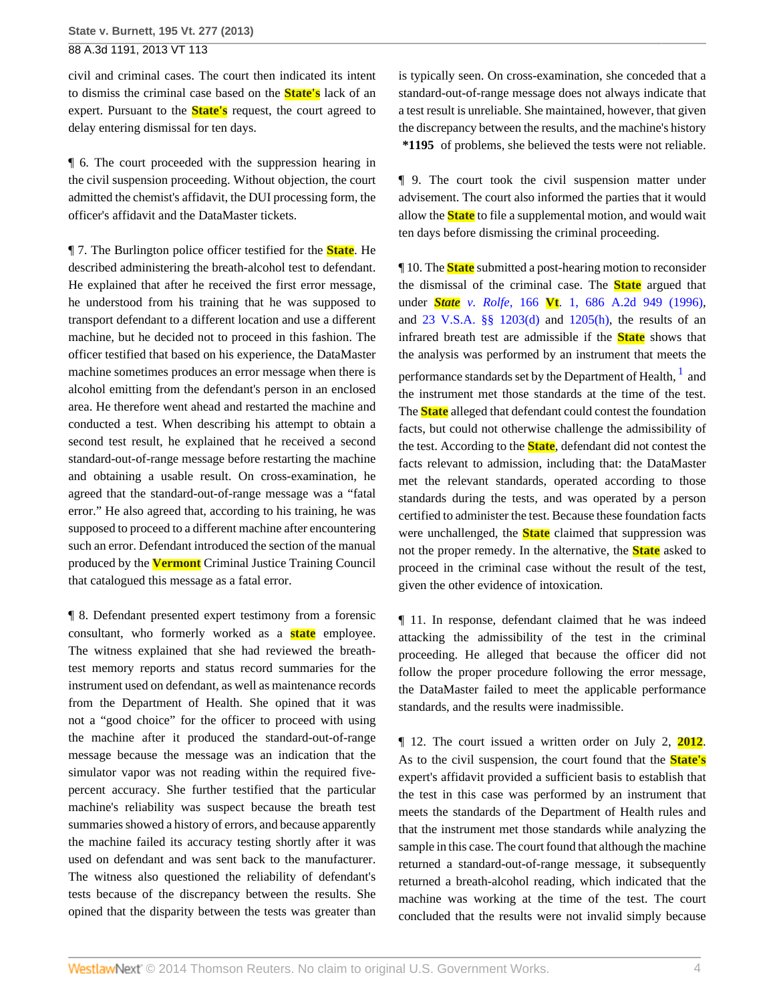civil and criminal cases. The court then indicated its intent to dismiss the criminal case based on the **State's** lack of an expert. Pursuant to the **State's** request, the court agreed to delay entering dismissal for ten days.

¶ 6. The court proceeded with the suppression hearing in the civil suspension proceeding. Without objection, the court admitted the chemist's affidavit, the DUI processing form, the officer's affidavit and the DataMaster tickets.

¶ 7. The Burlington police officer testified for the **State**. He described administering the breath-alcohol test to defendant. He explained that after he received the first error message, he understood from his training that he was supposed to transport defendant to a different location and use a different machine, but he decided not to proceed in this fashion. The officer testified that based on his experience, the DataMaster machine sometimes produces an error message when there is alcohol emitting from the defendant's person in an enclosed area. He therefore went ahead and restarted the machine and conducted a test. When describing his attempt to obtain a second test result, he explained that he received a second standard-out-of-range message before restarting the machine and obtaining a usable result. On cross-examination, he agreed that the standard-out-of-range message was a "fatal error." He also agreed that, according to his training, he was supposed to proceed to a different machine after encountering such an error. Defendant introduced the section of the manual produced by the **Vermont** Criminal Justice Training Council that catalogued this message as a fatal error.

¶ 8. Defendant presented expert testimony from a forensic consultant, who formerly worked as a **state** employee. The witness explained that she had reviewed the breathtest memory reports and status record summaries for the instrument used on defendant, as well as maintenance records from the Department of Health. She opined that it was not a "good choice" for the officer to proceed with using the machine after it produced the standard-out-of-range message because the message was an indication that the simulator vapor was not reading within the required fivepercent accuracy. She further testified that the particular machine's reliability was suspect because the breath test summaries showed a history of errors, and because apparently the machine failed its accuracy testing shortly after it was used on defendant and was sent back to the manufacturer. The witness also questioned the reliability of defendant's tests because of the discrepancy between the results. She opined that the disparity between the tests was greater than is typically seen. On cross-examination, she conceded that a standard-out-of-range message does not always indicate that a test result is unreliable. She maintained, however, that given the discrepancy between the results, and the machine's history **\*1195** of problems, she believed the tests were not reliable.

¶ 9. The court took the civil suspension matter under advisement. The court also informed the parties that it would allow the **State** to file a supplemental motion, and would wait ten days before dismissing the criminal proceeding.

<span id="page-3-0"></span>¶ 10. The **State** submitted a post-hearing motion to reconsider the dismissal of the criminal case. The **State** argued that under *State v. Rolfe,* 166 **Vt**[. 1, 686 A.2d 949 \(1996\),](http://www.westlaw.com/Link/Document/FullText?findType=Y&serNum=1996244075&pubNum=0000162&originationContext=document&vr=3.0&rs=cblt1.0&transitionType=DocumentItem&contextData=(sc.Search)) and [23 V.S.A. §§ 1203\(d\)](http://www.westlaw.com/Link/Document/FullText?findType=L&pubNum=1000883&cite=VTST23S1203&originatingDoc=I14fa0271576111e3a341ea44e5e1f25f&refType=SP&originationContext=document&vr=3.0&rs=cblt1.0&transitionType=DocumentItem&contextData=(sc.Search)#co_pp_5ba1000067d06) and [1205\(h\),](http://www.westlaw.com/Link/Document/FullText?findType=L&pubNum=1000883&cite=VTST23S1205&originatingDoc=I14fa0271576111e3a341ea44e5e1f25f&refType=SP&originationContext=document&vr=3.0&rs=cblt1.0&transitionType=DocumentItem&contextData=(sc.Search)#co_pp_f383000077b35) the results of an infrared breath test are admissible if the **State** shows that the analysis was performed by an instrument that meets the performance standards set by the Department of Health,  $^{\rm l}$  and the instrument met those standards at the time of the test. The **State** alleged that defendant could contest the foundation facts, but could not otherwise challenge the admissibility of the test. According to the **State**, defendant did not contest the facts relevant to admission, including that: the DataMaster met the relevant standards, operated according to those standards during the tests, and was operated by a person certified to administer the test. Because these foundation facts were unchallenged, the **State** claimed that suppression was not the proper remedy. In the alternative, the **State** asked to proceed in the criminal case without the result of the test, given the other evidence of intoxication.

¶ 11. In response, defendant claimed that he was indeed attacking the admissibility of the test in the criminal proceeding. He alleged that because the officer did not follow the proper procedure following the error message, the DataMaster failed to meet the applicable performance standards, and the results were inadmissible.

¶ 12. The court issued a written order on July 2, **2012**. As to the civil suspension, the court found that the **State's** expert's affidavit provided a sufficient basis to establish that the test in this case was performed by an instrument that meets the standards of the Department of Health rules and that the instrument met those standards while analyzing the sample in this case. The court found that although the machine returned a standard-out-of-range message, it subsequently returned a breath-alcohol reading, which indicated that the machine was working at the time of the test. The court concluded that the results were not invalid simply because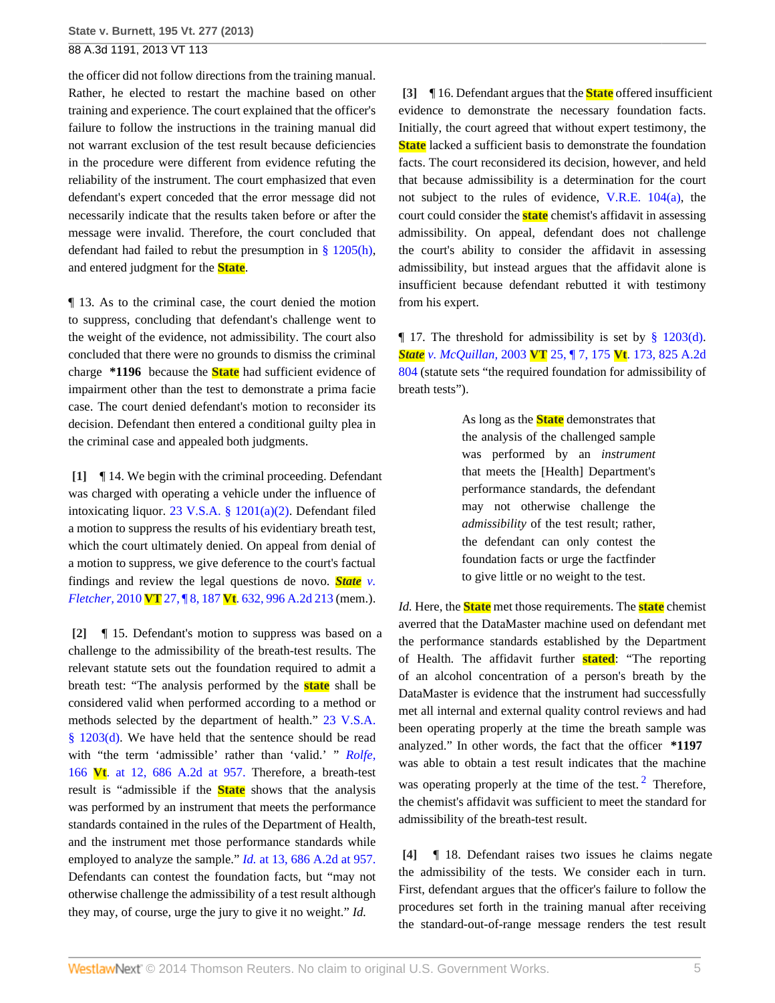the officer did not follow directions from the training manual. Rather, he elected to restart the machine based on other training and experience. The court explained that the officer's failure to follow the instructions in the training manual did not warrant exclusion of the test result because deficiencies in the procedure were different from evidence refuting the reliability of the instrument. The court emphasized that even defendant's expert conceded that the error message did not necessarily indicate that the results taken before or after the message were invalid. Therefore, the court concluded that defendant had failed to rebut the presumption in  $\S$  1205(h), and entered judgment for the **State**.

¶ 13. As to the criminal case, the court denied the motion to suppress, concluding that defendant's challenge went to the weight of the evidence, not admissibility. The court also concluded that there were no grounds to dismiss the criminal charge **\*1196** because the **State** had sufficient evidence of impairment other than the test to demonstrate a prima facie case. The court denied defendant's motion to reconsider its decision. Defendant then entered a conditional guilty plea in the criminal case and appealed both judgments.

<span id="page-4-0"></span>**[\[1\]](#page-0-2)** ¶ 14. We begin with the criminal proceeding. Defendant was charged with operating a vehicle under the influence of intoxicating liquor. [23 V.S.A. § 1201\(a\)\(2\)](http://www.westlaw.com/Link/Document/FullText?findType=L&pubNum=1000883&cite=VTST23S1201&originatingDoc=I14fa0271576111e3a341ea44e5e1f25f&refType=SP&originationContext=document&vr=3.0&rs=cblt1.0&transitionType=DocumentItem&contextData=(sc.Search)#co_pp_d86d0000be040). Defendant filed a motion to suppress the results of his evidentiary breath test, which the court ultimately denied. On appeal from denial of a motion to suppress, we give deference to the court's factual findings and review the legal questions de novo. *[State](http://www.westlaw.com/Link/Document/FullText?findType=Y&serNum=2021705976&pubNum=0000162&originationContext=document&vr=3.0&rs=cblt1.0&transitionType=DocumentItem&contextData=(sc.Search)) v. Fletcher,* 2010 **VT** 27, ¶ 8, 187 **Vt**[. 632, 996 A.2d 213](http://www.westlaw.com/Link/Document/FullText?findType=Y&serNum=2021705976&pubNum=0000162&originationContext=document&vr=3.0&rs=cblt1.0&transitionType=DocumentItem&contextData=(sc.Search)) (mem.).

<span id="page-4-1"></span>**[\[2\]](#page-0-3)** ¶ 15. Defendant's motion to suppress was based on a challenge to the admissibility of the breath-test results. The relevant statute sets out the foundation required to admit a breath test: "The analysis performed by the **state** shall be considered valid when performed according to a method or methods selected by the department of health." [23 V.S.A.](http://www.westlaw.com/Link/Document/FullText?findType=L&pubNum=1000883&cite=VTST23S1203&originatingDoc=I14fa0271576111e3a341ea44e5e1f25f&refType=SP&originationContext=document&vr=3.0&rs=cblt1.0&transitionType=DocumentItem&contextData=(sc.Search)#co_pp_5ba1000067d06) [§ 1203\(d\).](http://www.westlaw.com/Link/Document/FullText?findType=L&pubNum=1000883&cite=VTST23S1203&originatingDoc=I14fa0271576111e3a341ea44e5e1f25f&refType=SP&originationContext=document&vr=3.0&rs=cblt1.0&transitionType=DocumentItem&contextData=(sc.Search)#co_pp_5ba1000067d06) We have held that the sentence should be read with "the term 'admissible' rather than 'valid.' " *[Rolfe,](http://www.westlaw.com/Link/Document/FullText?findType=Y&serNum=1996244075&pubNum=162&fi=co_pp_sp_162_957&originationContext=document&vr=3.0&rs=cblt1.0&transitionType=DocumentItem&contextData=(sc.Search)#co_pp_sp_162_957)* 166 **Vt**[. at 12, 686 A.2d at 957.](http://www.westlaw.com/Link/Document/FullText?findType=Y&serNum=1996244075&pubNum=162&fi=co_pp_sp_162_957&originationContext=document&vr=3.0&rs=cblt1.0&transitionType=DocumentItem&contextData=(sc.Search)#co_pp_sp_162_957) Therefore, a breath-test result is "admissible if the **State** shows that the analysis was performed by an instrument that meets the performance standards contained in the rules of the Department of Health, and the instrument met those performance standards while employed to analyze the sample." *Id.* [at 13, 686 A.2d at 957.](http://www.westlaw.com/Link/Document/FullText?findType=Y&serNum=1996244075&pubNum=162&fi=co_pp_sp_162_957&originationContext=document&vr=3.0&rs=cblt1.0&transitionType=DocumentItem&contextData=(sc.Search)#co_pp_sp_162_957) Defendants can contest the foundation facts, but "may not otherwise challenge the admissibility of a test result although they may, of course, urge the jury to give it no weight." *Id.*

<span id="page-4-2"></span>**[\[3\]](#page-0-0)** ¶ 16. Defendant argues that the **State** offered insufficient evidence to demonstrate the necessary foundation facts. Initially, the court agreed that without expert testimony, the **State** lacked a sufficient basis to demonstrate the foundation facts. The court reconsidered its decision, however, and held that because admissibility is a determination for the court not subject to the rules of evidence, [V.R.E. 104\(a\),](http://www.westlaw.com/Link/Document/FullText?findType=L&pubNum=1008268&cite=VTRREVR104&originatingDoc=I14fa0271576111e3a341ea44e5e1f25f&refType=LQ&originationContext=document&vr=3.0&rs=cblt1.0&transitionType=DocumentItem&contextData=(sc.Search)) the court could consider the **state** chemist's affidavit in assessing admissibility. On appeal, defendant does not challenge the court's ability to consider the affidavit in assessing admissibility, but instead argues that the affidavit alone is insufficient because defendant rebutted it with testimony from his expert.

 $\P$  17. The threshold for admissibility is set by [§ 1203\(d\).](http://www.westlaw.com/Link/Document/FullText?findType=L&pubNum=1000883&cite=VTST23S1203&originatingDoc=I14fa0271576111e3a341ea44e5e1f25f&refType=SP&originationContext=document&vr=3.0&rs=cblt1.0&transitionType=DocumentItem&contextData=(sc.Search)#co_pp_5ba1000067d06) *State v. McQuillan,* 2003 **VT** 25, ¶ 7, 175 **Vt**[. 173, 825 A.2d](http://www.westlaw.com/Link/Document/FullText?findType=Y&serNum=2003243645&pubNum=0000162&originationContext=document&vr=3.0&rs=cblt1.0&transitionType=DocumentItem&contextData=(sc.Search)) [804](http://www.westlaw.com/Link/Document/FullText?findType=Y&serNum=2003243645&pubNum=0000162&originationContext=document&vr=3.0&rs=cblt1.0&transitionType=DocumentItem&contextData=(sc.Search)) (statute sets "the required foundation for admissibility of breath tests").

> As long as the **State** demonstrates that the analysis of the challenged sample was performed by an *instrument* that meets the [Health] Department's performance standards, the defendant may not otherwise challenge the *admissibility* of the test result; rather, the defendant can only contest the foundation facts or urge the factfinder to give little or no weight to the test.

*Id.* Here, the **State** met those requirements. The **state** chemist averred that the DataMaster machine used on defendant met the performance standards established by the Department of Health. The affidavit further **stated**: "The reporting of an alcohol concentration of a person's breath by the DataMaster is evidence that the instrument had successfully met all internal and external quality control reviews and had been operating properly at the time the breath sample was analyzed." In other words, the fact that the officer **\*1197** was able to obtain a test result indicates that the machine was operating properly at the time of the test. $<sup>2</sup>$  $<sup>2</sup>$  $<sup>2</sup>$  Therefore,</sup> the chemist's affidavit was sufficient to meet the standard for admissibility of the breath-test result.

<span id="page-4-4"></span><span id="page-4-3"></span>**[\[4\]](#page-0-1)** ¶ 18. Defendant raises two issues he claims negate the admissibility of the tests. We consider each in turn. First, defendant argues that the officer's failure to follow the procedures set forth in the training manual after receiving the standard-out-of-range message renders the test result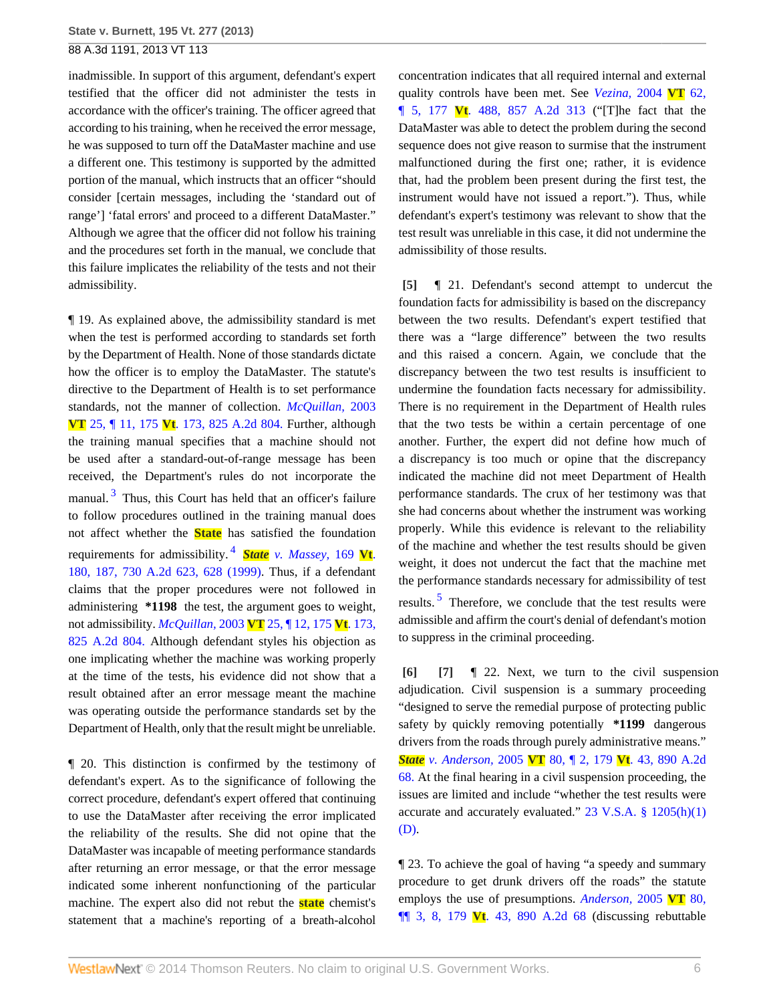inadmissible. In support of this argument, defendant's expert testified that the officer did not administer the tests in accordance with the officer's training. The officer agreed that according to his training, when he received the error message, he was supposed to turn off the DataMaster machine and use a different one. This testimony is supported by the admitted portion of the manual, which instructs that an officer "should consider [certain messages, including the 'standard out of range'] 'fatal errors' and proceed to a different DataMaster." Although we agree that the officer did not follow his training and the procedures set forth in the manual, we conclude that this failure implicates the reliability of the tests and not their admissibility.

<span id="page-5-3"></span>¶ 19. As explained above, the admissibility standard is met when the test is performed according to standards set forth by the Department of Health. None of those standards dictate how the officer is to employ the DataMaster. The statute's directive to the Department of Health is to set performance standards, not the manner of collection. *[McQuillan,](http://www.westlaw.com/Link/Document/FullText?findType=Y&serNum=2003243645&pubNum=162&originationContext=document&vr=3.0&rs=cblt1.0&transitionType=DocumentItem&contextData=(sc.Search))* 2003 **VT** 25, ¶ 11, 175 **Vt**[. 173, 825 A.2d 804.](http://www.westlaw.com/Link/Document/FullText?findType=Y&serNum=2003243645&pubNum=162&originationContext=document&vr=3.0&rs=cblt1.0&transitionType=DocumentItem&contextData=(sc.Search)) Further, although the training manual specifies that a machine should not be used after a standard-out-of-range message has been received, the Department's rules do not incorporate the manual.<sup>[3](#page-9-2)</sup> Thus, this Court has held that an officer's failure to follow procedures outlined in the training manual does not affect whether the **State** has satisfied the foundation requirements for admissibility. [4](#page-9-3) *State [v. Massey,](http://www.westlaw.com/Link/Document/FullText?findType=Y&serNum=1999102773&pubNum=0000162&fi=co_pp_sp_162_628&originationContext=document&vr=3.0&rs=cblt1.0&transitionType=DocumentItem&contextData=(sc.Search)#co_pp_sp_162_628)* 169 **Vt**. [180, 187, 730 A.2d 623, 628 \(1999\)](http://www.westlaw.com/Link/Document/FullText?findType=Y&serNum=1999102773&pubNum=0000162&fi=co_pp_sp_162_628&originationContext=document&vr=3.0&rs=cblt1.0&transitionType=DocumentItem&contextData=(sc.Search)#co_pp_sp_162_628). Thus, if a defendant claims that the proper procedures were not followed in administering **\*1198** the test, the argument goes to weight, not admissibility. *McQuillan,* 2003 **VT** [25, ¶ 12, 175](http://www.westlaw.com/Link/Document/FullText?findType=Y&serNum=2003243645&pubNum=162&originationContext=document&vr=3.0&rs=cblt1.0&transitionType=DocumentItem&contextData=(sc.Search)) **Vt**. 173, [825 A.2d 804.](http://www.westlaw.com/Link/Document/FullText?findType=Y&serNum=2003243645&pubNum=162&originationContext=document&vr=3.0&rs=cblt1.0&transitionType=DocumentItem&contextData=(sc.Search)) Although defendant styles his objection as one implicating whether the machine was working properly at the time of the tests, his evidence did not show that a result obtained after an error message meant the machine was operating outside the performance standards set by the Department of Health, only that the result might be unreliable.

¶ 20. This distinction is confirmed by the testimony of defendant's expert. As to the significance of following the correct procedure, defendant's expert offered that continuing to use the DataMaster after receiving the error implicated the reliability of the results. She did not opine that the DataMaster was incapable of meeting performance standards after returning an error message, or that the error message indicated some inherent nonfunctioning of the particular machine. The expert also did not rebut the **state** chemist's statement that a machine's reporting of a breath-alcohol concentration indicates that all required internal and external quality controls have been met. See *[Vezina,](http://www.westlaw.com/Link/Document/FullText?findType=Y&serNum=2004675835&pubNum=0000162&originationContext=document&vr=3.0&rs=cblt1.0&transitionType=DocumentItem&contextData=(sc.Search))* 2004 **VT** 62, ¶ 5, 177 **Vt**[. 488, 857 A.2d 313](http://www.westlaw.com/Link/Document/FullText?findType=Y&serNum=2004675835&pubNum=0000162&originationContext=document&vr=3.0&rs=cblt1.0&transitionType=DocumentItem&contextData=(sc.Search)) ("[T]he fact that the DataMaster was able to detect the problem during the second sequence does not give reason to surmise that the instrument malfunctioned during the first one; rather, it is evidence that, had the problem been present during the first test, the instrument would have not issued a report."). Thus, while defendant's expert's testimony was relevant to show that the test result was unreliable in this case, it did not undermine the admissibility of those results.

<span id="page-5-0"></span>**[\[5\]](#page-1-1)** ¶ 21. Defendant's second attempt to undercut the foundation facts for admissibility is based on the discrepancy between the two results. Defendant's expert testified that there was a "large difference" between the two results and this raised a concern. Again, we conclude that the discrepancy between the two test results is insufficient to undermine the foundation facts necessary for admissibility. There is no requirement in the Department of Health rules that the two tests be within a certain percentage of one another. Further, the expert did not define how much of a discrepancy is too much or opine that the discrepancy indicated the machine did not meet Department of Health performance standards. The crux of her testimony was that she had concerns about whether the instrument was working properly. While this evidence is relevant to the reliability of the machine and whether the test results should be given weight, it does not undercut the fact that the machine met the performance standards necessary for admissibility of test results.<sup>[5](#page-9-4)</sup> Therefore, we conclude that the test results were admissible and affirm the court's denial of defendant's motion to suppress in the criminal proceeding.

<span id="page-5-5"></span><span id="page-5-4"></span><span id="page-5-2"></span><span id="page-5-1"></span>**[\[6\]](#page-1-0) [\[7\]](#page-1-2)** ¶ 22. Next, we turn to the civil suspension adjudication. Civil suspension is a summary proceeding "designed to serve the remedial purpose of protecting public safety by quickly removing potentially **\*1199** dangerous drivers from the roads through purely administrative means." *State v. Anderson,* 2005 **VT** 80, ¶ 2, 179 **Vt**[. 43, 890 A.2d](http://www.westlaw.com/Link/Document/FullText?findType=Y&serNum=2006986122&pubNum=162&originationContext=document&vr=3.0&rs=cblt1.0&transitionType=DocumentItem&contextData=(sc.Search)) [68.](http://www.westlaw.com/Link/Document/FullText?findType=Y&serNum=2006986122&pubNum=162&originationContext=document&vr=3.0&rs=cblt1.0&transitionType=DocumentItem&contextData=(sc.Search)) At the final hearing in a civil suspension proceeding, the issues are limited and include "whether the test results were accurate and accurately evaluated." [23 V.S.A. § 1205\(h\)\(1\)](http://www.westlaw.com/Link/Document/FullText?findType=L&pubNum=1000883&cite=VTST23S1205&originatingDoc=I14fa0271576111e3a341ea44e5e1f25f&refType=SP&originationContext=document&vr=3.0&rs=cblt1.0&transitionType=DocumentItem&contextData=(sc.Search)#co_pp_b4e500006fdf6) [\(D\).](http://www.westlaw.com/Link/Document/FullText?findType=L&pubNum=1000883&cite=VTST23S1205&originatingDoc=I14fa0271576111e3a341ea44e5e1f25f&refType=SP&originationContext=document&vr=3.0&rs=cblt1.0&transitionType=DocumentItem&contextData=(sc.Search)#co_pp_b4e500006fdf6)

¶ 23. To achieve the goal of having "a speedy and summary procedure to get drunk drivers off the roads" the statute employs the use of presumptions. *[Anderson,](http://www.westlaw.com/Link/Document/FullText?findType=Y&serNum=2006986122&pubNum=0000162&originationContext=document&vr=3.0&rs=cblt1.0&transitionType=DocumentItem&contextData=(sc.Search))* 2005 **VT** 80, ¶¶ 3, 8, 179 **Vt**[. 43, 890 A.2d 68](http://www.westlaw.com/Link/Document/FullText?findType=Y&serNum=2006986122&pubNum=0000162&originationContext=document&vr=3.0&rs=cblt1.0&transitionType=DocumentItem&contextData=(sc.Search)) (discussing rebuttable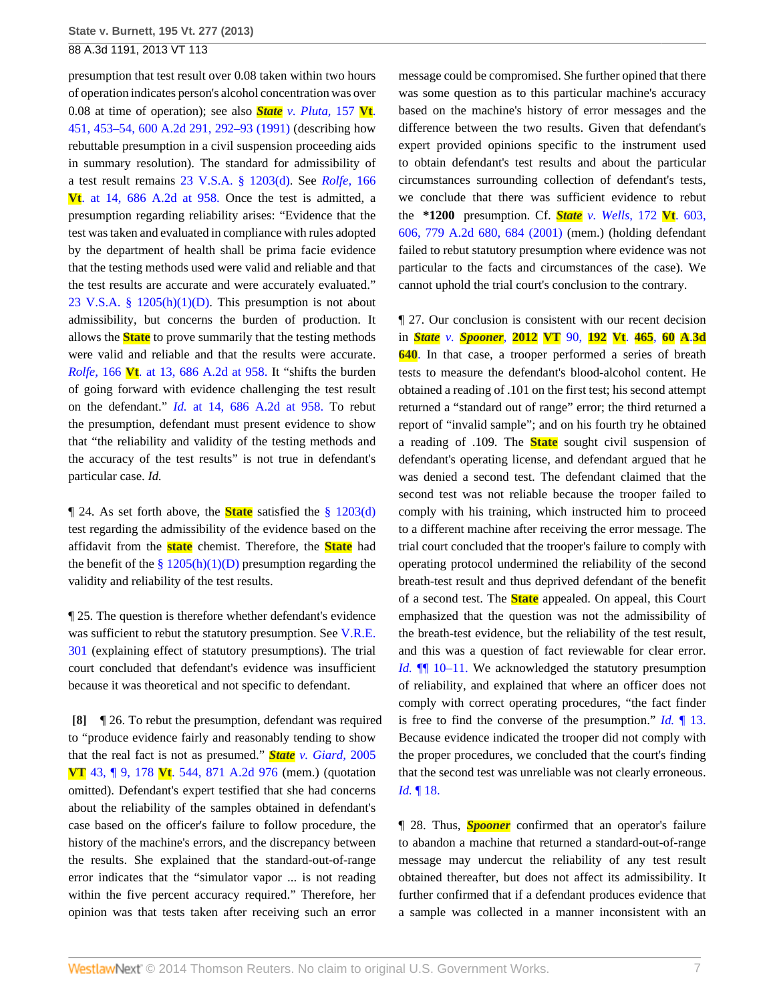presumption that test result over 0.08 taken within two hours of operation indicates person's alcohol concentration was over 0.08 at time of operation); see also *State [v. Pluta,](http://www.westlaw.com/Link/Document/FullText?findType=Y&serNum=1991199231&pubNum=0000162&fi=co_pp_sp_162_292&originationContext=document&vr=3.0&rs=cblt1.0&transitionType=DocumentItem&contextData=(sc.Search)#co_pp_sp_162_292)* 157 **Vt**. [451, 453–54, 600 A.2d 291, 292–93 \(1991\)](http://www.westlaw.com/Link/Document/FullText?findType=Y&serNum=1991199231&pubNum=0000162&fi=co_pp_sp_162_292&originationContext=document&vr=3.0&rs=cblt1.0&transitionType=DocumentItem&contextData=(sc.Search)#co_pp_sp_162_292) (describing how rebuttable presumption in a civil suspension proceeding aids in summary resolution). The standard for admissibility of a test result remains [23 V.S.A. § 1203\(d\)](http://www.westlaw.com/Link/Document/FullText?findType=L&pubNum=1000883&cite=VTST23S1203&originatingDoc=I14fa0271576111e3a341ea44e5e1f25f&refType=SP&originationContext=document&vr=3.0&rs=cblt1.0&transitionType=DocumentItem&contextData=(sc.Search)#co_pp_5ba1000067d06). See *[Rolfe,](http://www.westlaw.com/Link/Document/FullText?findType=Y&serNum=1996244075&pubNum=162&fi=co_pp_sp_162_958&originationContext=document&vr=3.0&rs=cblt1.0&transitionType=DocumentItem&contextData=(sc.Search)#co_pp_sp_162_958)* 166 **Vt**[. at 14, 686 A.2d at 958.](http://www.westlaw.com/Link/Document/FullText?findType=Y&serNum=1996244075&pubNum=162&fi=co_pp_sp_162_958&originationContext=document&vr=3.0&rs=cblt1.0&transitionType=DocumentItem&contextData=(sc.Search)#co_pp_sp_162_958) Once the test is admitted, a presumption regarding reliability arises: "Evidence that the test was taken and evaluated in compliance with rules adopted by the department of health shall be prima facie evidence that the testing methods used were valid and reliable and that the test results are accurate and were accurately evaluated." 23 V.S.A. §  $1205(h)(1)(D)$ . This presumption is not about admissibility, but concerns the burden of production. It allows the **State** to prove summarily that the testing methods were valid and reliable and that the results were accurate. *Rolfe,* 166 **Vt**[. at 13, 686 A.2d at 958.](http://www.westlaw.com/Link/Document/FullText?findType=Y&serNum=1996244075&pubNum=162&fi=co_pp_sp_162_958&originationContext=document&vr=3.0&rs=cblt1.0&transitionType=DocumentItem&contextData=(sc.Search)#co_pp_sp_162_958) It "shifts the burden of going forward with evidence challenging the test result on the defendant." *Id.* [at 14, 686 A.2d at 958.](http://www.westlaw.com/Link/Document/FullText?findType=Y&serNum=1996244075&pubNum=162&fi=co_pp_sp_162_958&originationContext=document&vr=3.0&rs=cblt1.0&transitionType=DocumentItem&contextData=(sc.Search)#co_pp_sp_162_958) To rebut the presumption, defendant must present evidence to show that "the reliability and validity of the testing methods and the accuracy of the test results" is not true in defendant's particular case. *Id.*

¶ 24. As set forth above, the **State** satisfied the [§ 1203\(d\)](http://www.westlaw.com/Link/Document/FullText?findType=L&pubNum=1000883&cite=VTST23S1203&originatingDoc=I14fa0271576111e3a341ea44e5e1f25f&refType=SP&originationContext=document&vr=3.0&rs=cblt1.0&transitionType=DocumentItem&contextData=(sc.Search)#co_pp_5ba1000067d06) test regarding the admissibility of the evidence based on the affidavit from the **state** chemist. Therefore, the **State** had the benefit of the  $\S 1205(h)(1)(D)$  presumption regarding the validity and reliability of the test results.

¶ 25. The question is therefore whether defendant's evidence was sufficient to rebut the statutory presumption. See [V.R.E.](http://www.westlaw.com/Link/Document/FullText?findType=L&pubNum=1008268&cite=VTRREVR301&originatingDoc=I14fa0271576111e3a341ea44e5e1f25f&refType=LQ&originationContext=document&vr=3.0&rs=cblt1.0&transitionType=DocumentItem&contextData=(sc.Search)) [301](http://www.westlaw.com/Link/Document/FullText?findType=L&pubNum=1008268&cite=VTRREVR301&originatingDoc=I14fa0271576111e3a341ea44e5e1f25f&refType=LQ&originationContext=document&vr=3.0&rs=cblt1.0&transitionType=DocumentItem&contextData=(sc.Search)) (explaining effect of statutory presumptions). The trial court concluded that defendant's evidence was insufficient because it was theoretical and not specific to defendant.

<span id="page-6-0"></span>**[\[8\]](#page-1-3)** ¶ 26. To rebut the presumption, defendant was required to "produce evidence fairly and reasonably tending to show that the real fact is not as presumed." *State [v. Giard,](http://www.westlaw.com/Link/Document/FullText?findType=Y&serNum=2006408730&pubNum=0000162&originationContext=document&vr=3.0&rs=cblt1.0&transitionType=DocumentItem&contextData=(sc.Search))* 2005 **VT** 43, ¶ 9, 178 **Vt**[. 544, 871 A.2d 976](http://www.westlaw.com/Link/Document/FullText?findType=Y&serNum=2006408730&pubNum=0000162&originationContext=document&vr=3.0&rs=cblt1.0&transitionType=DocumentItem&contextData=(sc.Search)) (mem.) (quotation omitted). Defendant's expert testified that she had concerns about the reliability of the samples obtained in defendant's case based on the officer's failure to follow procedure, the history of the machine's errors, and the discrepancy between the results. She explained that the standard-out-of-range error indicates that the "simulator vapor ... is not reading within the five percent accuracy required." Therefore, her opinion was that tests taken after receiving such an error

message could be compromised. She further opined that there was some question as to this particular machine's accuracy based on the machine's history of error messages and the difference between the two results. Given that defendant's expert provided opinions specific to the instrument used to obtain defendant's test results and about the particular circumstances surrounding collection of defendant's tests, we conclude that there was sufficient evidence to rebut the **\*1200** presumption. Cf. *State [v. Wells,](http://www.westlaw.com/Link/Document/FullText?findType=Y&serNum=2001698003&pubNum=0000162&fi=co_pp_sp_162_684&originationContext=document&vr=3.0&rs=cblt1.0&transitionType=DocumentItem&contextData=(sc.Search)#co_pp_sp_162_684)* 172 **Vt**. 603, [606, 779 A.2d 680, 684 \(2001\)](http://www.westlaw.com/Link/Document/FullText?findType=Y&serNum=2001698003&pubNum=0000162&fi=co_pp_sp_162_684&originationContext=document&vr=3.0&rs=cblt1.0&transitionType=DocumentItem&contextData=(sc.Search)#co_pp_sp_162_684) (mem.) (holding defendant failed to rebut statutory presumption where evidence was not particular to the facts and circumstances of the case). We cannot uphold the trial court's conclusion to the contrary.

¶ 27. Our conclusion is consistent with our recent decision in *State v. [Spooner](http://www.westlaw.com/Link/Document/FullText?findType=Y&serNum=2028919961&pubNum=7691&originationContext=document&vr=3.0&rs=cblt1.0&transitionType=DocumentItem&contextData=(sc.Search)),* **2012 VT** 90, **192 Vt**. **465**, **60 A**.**3d [640](http://www.westlaw.com/Link/Document/FullText?findType=Y&serNum=2028919961&pubNum=7691&originationContext=document&vr=3.0&rs=cblt1.0&transitionType=DocumentItem&contextData=(sc.Search))**. In that case, a trooper performed a series of breath tests to measure the defendant's blood-alcohol content. He obtained a reading of .101 on the first test; his second attempt returned a "standard out of range" error; the third returned a report of "invalid sample"; and on his fourth try he obtained a reading of .109. The **State** sought civil suspension of defendant's operating license, and defendant argued that he was denied a second test. The defendant claimed that the second test was not reliable because the trooper failed to comply with his training, which instructed him to proceed to a different machine after receiving the error message. The trial court concluded that the trooper's failure to comply with operating protocol undermined the reliability of the second breath-test result and thus deprived defendant of the benefit of a second test. The **State** appealed. On appeal, this Court emphasized that the question was not the admissibility of the breath-test evidence, but the reliability of the test result, and this was a question of fact reviewable for clear error. *Id.* **[10–11.** We acknowledged the statutory presumption of reliability, and explained that where an officer does not comply with correct operating procedures, "the fact finder is free to find the converse of the presumption." *Id.* [¶ 13.](http://www.westlaw.com/Link/Document/FullText?findType=Y&serNum=2028919961&originationContext=document&vr=3.0&rs=cblt1.0&transitionType=DocumentItem&contextData=(sc.Search)) Because evidence indicated the trooper did not comply with the proper procedures, we concluded that the court's finding that the second test was unreliable was not clearly erroneous. *Id.* [¶ 18.](http://www.westlaw.com/Link/Document/FullText?findType=Y&serNum=2028919961&originationContext=document&vr=3.0&rs=cblt1.0&transitionType=DocumentItem&contextData=(sc.Search))

¶ 28. Thus, *Spooner* confirmed that an operator's failure to abandon a machine that returned a standard-out-of-range message may undercut the reliability of any test result obtained thereafter, but does not affect its admissibility. It further confirmed that if a defendant produces evidence that a sample was collected in a manner inconsistent with an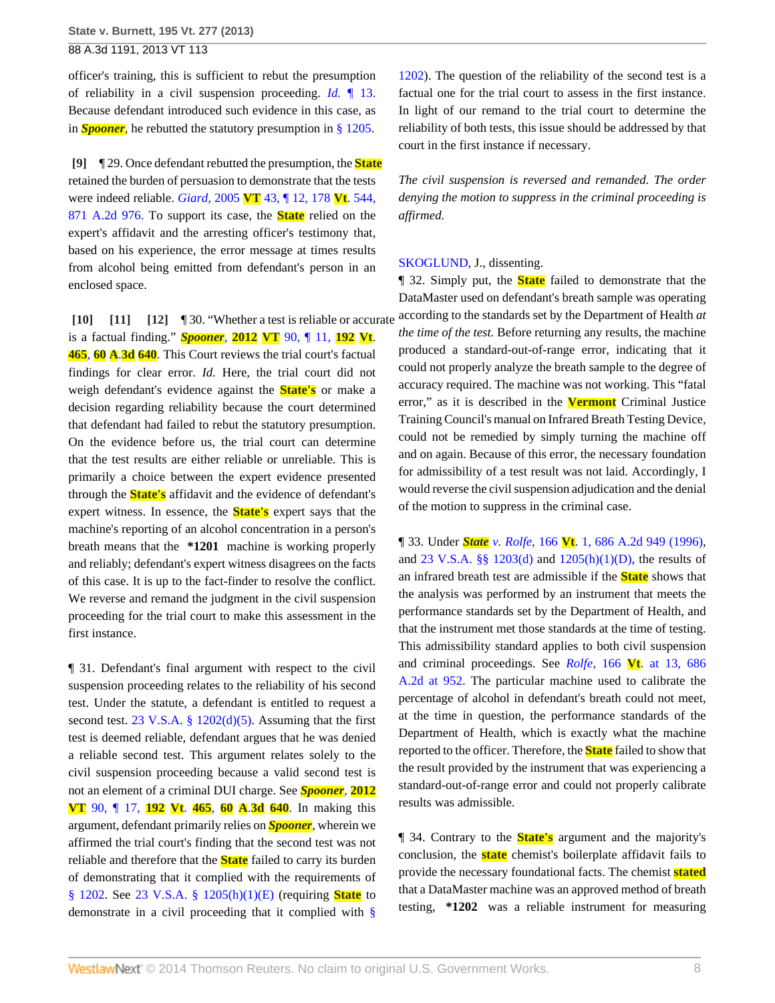officer's training, this is sufficient to rebut the presumption of reliability in a civil suspension proceeding. *Id.* [¶ 13.](http://www.westlaw.com/Link/Document/FullText?findType=Y&serNum=2028919961&originationContext=document&vr=3.0&rs=cblt1.0&transitionType=DocumentItem&contextData=(sc.Search)) Because defendant introduced such evidence in this case, as in *Spooner,* he rebutted the statutory presumption in [§ 1205](http://www.westlaw.com/Link/Document/FullText?findType=L&pubNum=1000883&cite=VTST23S1205&originatingDoc=I14fa0271576111e3a341ea44e5e1f25f&refType=LQ&originationContext=document&vr=3.0&rs=cblt1.0&transitionType=DocumentItem&contextData=(sc.Search)).

<span id="page-7-0"></span>**[\[9\]](#page-1-4)** ¶ 29. Once defendant rebutted the presumption, the **State** retained the burden of persuasion to demonstrate that the tests were indeed reliable. *Giard,* 2005 **VT** [43, ¶ 12, 178](http://www.westlaw.com/Link/Document/FullText?findType=Y&serNum=2006408730&pubNum=162&originationContext=document&vr=3.0&rs=cblt1.0&transitionType=DocumentItem&contextData=(sc.Search)) **Vt**. 544, [871 A.2d 976.](http://www.westlaw.com/Link/Document/FullText?findType=Y&serNum=2006408730&pubNum=162&originationContext=document&vr=3.0&rs=cblt1.0&transitionType=DocumentItem&contextData=(sc.Search)) To support its case, the **State** relied on the expert's affidavit and the arresting officer's testimony that, based on his experience, the error message at times results from alcohol being emitted from defendant's person in an enclosed space.

<span id="page-7-3"></span><span id="page-7-2"></span><span id="page-7-1"></span>**[\[10\]](#page-1-5) [\[11](#page-2-0)] [\[12\]](#page-2-1)** ¶ 30. "Whether a test is reliable or accurate is a factual finding." *Spooner,* **2012 VT** [90, ¶ 11,](http://www.westlaw.com/Link/Document/FullText?findType=Y&serNum=2028919961&pubNum=7691&originationContext=document&vr=3.0&rs=cblt1.0&transitionType=DocumentItem&contextData=(sc.Search)) **192 Vt**. **[465](http://www.westlaw.com/Link/Document/FullText?findType=Y&serNum=2028919961&pubNum=7691&originationContext=document&vr=3.0&rs=cblt1.0&transitionType=DocumentItem&contextData=(sc.Search))**, **60 A**.**3d 640**. This Court reviews the trial court's factual findings for clear error. *Id.* Here, the trial court did not weigh defendant's evidence against the **State's** or make a decision regarding reliability because the court determined that defendant had failed to rebut the statutory presumption. On the evidence before us, the trial court can determine that the test results are either reliable or unreliable. This is primarily a choice between the expert evidence presented through the **State's** affidavit and the evidence of defendant's expert witness. In essence, the **State's** expert says that the machine's reporting of an alcohol concentration in a person's breath means that the **\*1201** machine is working properly and reliably; defendant's expert witness disagrees on the facts of this case. It is up to the fact-finder to resolve the conflict. We reverse and remand the judgment in the civil suspension proceeding for the trial court to make this assessment in the first instance.

¶ 31. Defendant's final argument with respect to the civil suspension proceeding relates to the reliability of his second test. Under the statute, a defendant is entitled to request a second test.  $23 \text{ V.S.A. }$  §  $1202(d)(5)$ . Assuming that the first test is deemed reliable, defendant argues that he was denied a reliable second test. This argument relates solely to the civil suspension proceeding because a valid second test is not an element of a criminal DUI charge. See *[Spooner](http://www.westlaw.com/Link/Document/FullText?findType=Y&serNum=2028919961&pubNum=7691&originationContext=document&vr=3.0&rs=cblt1.0&transitionType=DocumentItem&contextData=(sc.Search)),* **2012 VT** [90, ¶ 17,](http://www.westlaw.com/Link/Document/FullText?findType=Y&serNum=2028919961&pubNum=7691&originationContext=document&vr=3.0&rs=cblt1.0&transitionType=DocumentItem&contextData=(sc.Search)) **192 Vt**. **465**, **60 A**.**3d 640**. In making this argument, defendant primarily relies on *Spooner,* wherein we affirmed the trial court's finding that the second test was not reliable and therefore that the **State** failed to carry its burden of demonstrating that it complied with the requirements of [§ 1202.](http://www.westlaw.com/Link/Document/FullText?findType=L&pubNum=1000883&cite=VTST23S1202&originatingDoc=I14fa0271576111e3a341ea44e5e1f25f&refType=LQ&originationContext=document&vr=3.0&rs=cblt1.0&transitionType=DocumentItem&contextData=(sc.Search)) See [23 V.S.A. § 1205\(h\)\(1\)\(E\)](http://www.westlaw.com/Link/Document/FullText?findType=L&pubNum=1000883&cite=VTST23S1205&originatingDoc=I14fa0271576111e3a341ea44e5e1f25f&refType=SP&originationContext=document&vr=3.0&rs=cblt1.0&transitionType=DocumentItem&contextData=(sc.Search)#co_pp_b4e500006fdf6) (requiring **State** to demonstrate in a civil proceeding that it complied with [§](http://www.westlaw.com/Link/Document/FullText?findType=L&pubNum=1000883&cite=VTST23S1202&originatingDoc=I14fa0271576111e3a341ea44e5e1f25f&refType=LQ&originationContext=document&vr=3.0&rs=cblt1.0&transitionType=DocumentItem&contextData=(sc.Search))

[1202](http://www.westlaw.com/Link/Document/FullText?findType=L&pubNum=1000883&cite=VTST23S1202&originatingDoc=I14fa0271576111e3a341ea44e5e1f25f&refType=LQ&originationContext=document&vr=3.0&rs=cblt1.0&transitionType=DocumentItem&contextData=(sc.Search))). The question of the reliability of the second test is a factual one for the trial court to assess in the first instance. In light of our remand to the trial court to determine the reliability of both tests, this issue should be addressed by that court in the first instance if necessary.

*The civil suspension is reversed and remanded. The order denying the motion to suppress in the criminal proceeding is affirmed.*

### [SKOGLUND,](http://www.westlaw.com/Link/Document/FullText?findType=h&pubNum=176284&cite=0197190101&originatingDoc=I14fa0271576111e3a341ea44e5e1f25f&refType=RQ&originationContext=document&vr=3.0&rs=cblt1.0&transitionType=DocumentItem&contextData=(sc.Search)) J., dissenting.

¶ 32. Simply put, the **State** failed to demonstrate that the DataMaster used on defendant's breath sample was operating according to the standards set by the Department of Health *at the time of the test.* Before returning any results, the machine produced a standard-out-of-range error, indicating that it could not properly analyze the breath sample to the degree of accuracy required. The machine was not working. This "fatal error," as it is described in the **Vermont** Criminal Justice Training Council's manual on Infrared Breath Testing Device, could not be remedied by simply turning the machine off and on again. Because of this error, the necessary foundation for admissibility of a test result was not laid. Accordingly, I would reverse the civil suspension adjudication and the denial of the motion to suppress in the criminal case.

¶ 33. Under *State v. Rolfe,* 166 **Vt**[. 1, 686 A.2d 949 \(1996\)](http://www.westlaw.com/Link/Document/FullText?findType=Y&serNum=1996244075&pubNum=0000162&originationContext=document&vr=3.0&rs=cblt1.0&transitionType=DocumentItem&contextData=(sc.Search)), and [23 V.S.A. §§ 1203\(d\)](http://www.westlaw.com/Link/Document/FullText?findType=L&pubNum=1000883&cite=VTST23S1203&originatingDoc=I14fa0271576111e3a341ea44e5e1f25f&refType=SP&originationContext=document&vr=3.0&rs=cblt1.0&transitionType=DocumentItem&contextData=(sc.Search)#co_pp_5ba1000067d06) and [1205\(h\)\(1\)\(D\)](http://www.westlaw.com/Link/Document/FullText?findType=L&pubNum=1000883&cite=VTST23S1205&originatingDoc=I14fa0271576111e3a341ea44e5e1f25f&refType=SP&originationContext=document&vr=3.0&rs=cblt1.0&transitionType=DocumentItem&contextData=(sc.Search)#co_pp_b4e500006fdf6), the results of an infrared breath test are admissible if the **State** shows that the analysis was performed by an instrument that meets the performance standards set by the Department of Health, and that the instrument met those standards at the time of testing. This admissibility standard applies to both civil suspension and criminal proceedings. See *Rolfe,* 166 **Vt**[. at 13, 686](http://www.westlaw.com/Link/Document/FullText?findType=Y&serNum=1996244075&pubNum=162&fi=co_pp_sp_162_952&originationContext=document&vr=3.0&rs=cblt1.0&transitionType=DocumentItem&contextData=(sc.Search)#co_pp_sp_162_952) [A.2d at 952.](http://www.westlaw.com/Link/Document/FullText?findType=Y&serNum=1996244075&pubNum=162&fi=co_pp_sp_162_952&originationContext=document&vr=3.0&rs=cblt1.0&transitionType=DocumentItem&contextData=(sc.Search)#co_pp_sp_162_952) The particular machine used to calibrate the percentage of alcohol in defendant's breath could not meet, at the time in question, the performance standards of the Department of Health, which is exactly what the machine reported to the officer. Therefore, the **State** failed to show that the result provided by the instrument that was experiencing a standard-out-of-range error and could not properly calibrate results was admissible.

¶ 34. Contrary to the **State's** argument and the majority's conclusion, the **state** chemist's boilerplate affidavit fails to provide the necessary foundational facts. The chemist **stated** that a DataMaster machine was an approved method of breath testing, **\*1202** was a reliable instrument for measuring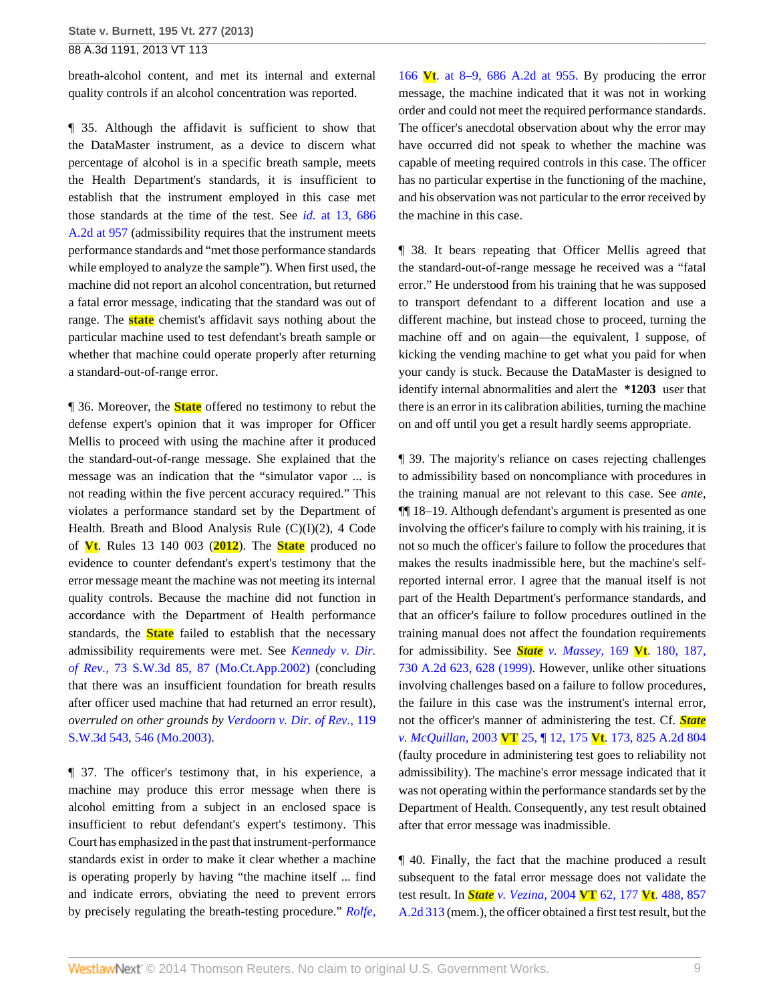breath-alcohol content, and met its internal and external quality controls if an alcohol concentration was reported.

¶ 35. Although the affidavit is sufficient to show that the DataMaster instrument, as a device to discern what percentage of alcohol is in a specific breath sample, meets the Health Department's standards, it is insufficient to establish that the instrument employed in this case met those standards at the time of the test. See *id.* [at 13, 686](http://www.westlaw.com/Link/Document/FullText?findType=Y&serNum=1996244075&pubNum=162&fi=co_pp_sp_162_957&originationContext=document&vr=3.0&rs=cblt1.0&transitionType=DocumentItem&contextData=(sc.Search)#co_pp_sp_162_957) [A.2d at 957](http://www.westlaw.com/Link/Document/FullText?findType=Y&serNum=1996244075&pubNum=162&fi=co_pp_sp_162_957&originationContext=document&vr=3.0&rs=cblt1.0&transitionType=DocumentItem&contextData=(sc.Search)#co_pp_sp_162_957) (admissibility requires that the instrument meets performance standards and "met those performance standards while employed to analyze the sample"). When first used, the machine did not report an alcohol concentration, but returned a fatal error message, indicating that the standard was out of range. The **state** chemist's affidavit says nothing about the particular machine used to test defendant's breath sample or whether that machine could operate properly after returning a standard-out-of-range error.

¶ 36. Moreover, the **State** offered no testimony to rebut the defense expert's opinion that it was improper for Officer Mellis to proceed with using the machine after it produced the standard-out-of-range message. She explained that the message was an indication that the "simulator vapor ... is not reading within the five percent accuracy required." This violates a performance standard set by the Department of Health. Breath and Blood Analysis Rule (C)(I)(2), 4 Code of **Vt**. Rules 13 140 003 (**2012**). The **State** produced no evidence to counter defendant's expert's testimony that the error message meant the machine was not meeting its internal quality controls. Because the machine did not function in accordance with the Department of Health performance standards, the **State** failed to establish that the necessary admissibility requirements were met. See *[Kennedy v. Dir.](http://www.westlaw.com/Link/Document/FullText?findType=Y&serNum=2002272868&pubNum=0004644&fi=co_pp_sp_4644_87&originationContext=document&vr=3.0&rs=cblt1.0&transitionType=DocumentItem&contextData=(sc.Search)#co_pp_sp_4644_87) of Rev.,* [73 S.W.3d 85, 87 \(Mo.Ct.App.2002\)](http://www.westlaw.com/Link/Document/FullText?findType=Y&serNum=2002272868&pubNum=0004644&fi=co_pp_sp_4644_87&originationContext=document&vr=3.0&rs=cblt1.0&transitionType=DocumentItem&contextData=(sc.Search)#co_pp_sp_4644_87) (concluding that there was an insufficient foundation for breath results after officer used machine that had returned an error result), *overruled on other grounds by [Verdoorn v. Dir. of Rev.,](http://www.westlaw.com/Link/Document/FullText?findType=Y&serNum=2003873683&pubNum=0004644&fi=co_pp_sp_4644_546&originationContext=document&vr=3.0&rs=cblt1.0&transitionType=DocumentItem&contextData=(sc.Search)#co_pp_sp_4644_546)* 119 [S.W.3d 543, 546 \(Mo.2003\)](http://www.westlaw.com/Link/Document/FullText?findType=Y&serNum=2003873683&pubNum=0004644&fi=co_pp_sp_4644_546&originationContext=document&vr=3.0&rs=cblt1.0&transitionType=DocumentItem&contextData=(sc.Search)#co_pp_sp_4644_546).

¶ 37. The officer's testimony that, in his experience, a machine may produce this error message when there is alcohol emitting from a subject in an enclosed space is insufficient to rebut defendant's expert's testimony. This Court has emphasized in the past that instrument-performance standards exist in order to make it clear whether a machine is operating properly by having "the machine itself ... find and indicate errors, obviating the need to prevent errors by precisely regulating the breath-testing procedure." *[Rolfe,](http://www.westlaw.com/Link/Document/FullText?findType=Y&serNum=1996244075&pubNum=162&fi=co_pp_sp_162_955&originationContext=document&vr=3.0&rs=cblt1.0&transitionType=DocumentItem&contextData=(sc.Search)#co_pp_sp_162_955)*

166 **Vt**[. at 8–9, 686 A.2d at 955.](http://www.westlaw.com/Link/Document/FullText?findType=Y&serNum=1996244075&pubNum=162&fi=co_pp_sp_162_955&originationContext=document&vr=3.0&rs=cblt1.0&transitionType=DocumentItem&contextData=(sc.Search)#co_pp_sp_162_955) By producing the error message, the machine indicated that it was not in working order and could not meet the required performance standards. The officer's anecdotal observation about why the error may have occurred did not speak to whether the machine was capable of meeting required controls in this case. The officer has no particular expertise in the functioning of the machine, and his observation was not particular to the error received by the machine in this case.

¶ 38. It bears repeating that Officer Mellis agreed that the standard-out-of-range message he received was a "fatal error." He understood from his training that he was supposed to transport defendant to a different location and use a different machine, but instead chose to proceed, turning the machine off and on again—the equivalent, I suppose, of kicking the vending machine to get what you paid for when your candy is stuck. Because the DataMaster is designed to identify internal abnormalities and alert the **\*1203** user that there is an error in its calibration abilities, turning the machine on and off until you get a result hardly seems appropriate.

¶ 39. The majority's reliance on cases rejecting challenges to admissibility based on noncompliance with procedures in the training manual are not relevant to this case. See *ante,* ¶¶ 18–19. Although defendant's argument is presented as one involving the officer's failure to comply with his training, it is not so much the officer's failure to follow the procedures that makes the results inadmissible here, but the machine's selfreported internal error. I agree that the manual itself is not part of the Health Department's performance standards, and that an officer's failure to follow procedures outlined in the training manual does not affect the foundation requirements for admissibility. See *State [v. Massey,](http://www.westlaw.com/Link/Document/FullText?findType=Y&serNum=1999102773&pubNum=0000162&fi=co_pp_sp_162_628&originationContext=document&vr=3.0&rs=cblt1.0&transitionType=DocumentItem&contextData=(sc.Search)#co_pp_sp_162_628)* 169 **Vt**. 180, 187, [730 A.2d 623, 628 \(1999\).](http://www.westlaw.com/Link/Document/FullText?findType=Y&serNum=1999102773&pubNum=0000162&fi=co_pp_sp_162_628&originationContext=document&vr=3.0&rs=cblt1.0&transitionType=DocumentItem&contextData=(sc.Search)#co_pp_sp_162_628) However, unlike other situations involving challenges based on a failure to follow procedures, the failure in this case was the instrument's internal error, not the officer's manner of administering the test. Cf. *[State](http://www.westlaw.com/Link/Document/FullText?findType=Y&serNum=2003243645&pubNum=0000162&originationContext=document&vr=3.0&rs=cblt1.0&transitionType=DocumentItem&contextData=(sc.Search)) v. McQuillan,* 2003 **VT** 25, ¶ 12, 175 **Vt**[. 173, 825 A.2d 804](http://www.westlaw.com/Link/Document/FullText?findType=Y&serNum=2003243645&pubNum=0000162&originationContext=document&vr=3.0&rs=cblt1.0&transitionType=DocumentItem&contextData=(sc.Search)) (faulty procedure in administering test goes to reliability not admissibility). The machine's error message indicated that it was not operating within the performance standards set by the Department of Health. Consequently, any test result obtained after that error message was inadmissible.

¶ 40. Finally, the fact that the machine produced a result subsequent to the fatal error message does not validate the test result. In *State [v. Vezina,](http://www.westlaw.com/Link/Document/FullText?findType=Y&serNum=2004675835&pubNum=0000162&originationContext=document&vr=3.0&rs=cblt1.0&transitionType=DocumentItem&contextData=(sc.Search))* 2004 **VT** 62, 177 **Vt**. 488, 857 [A.2d 313](http://www.westlaw.com/Link/Document/FullText?findType=Y&serNum=2004675835&pubNum=0000162&originationContext=document&vr=3.0&rs=cblt1.0&transitionType=DocumentItem&contextData=(sc.Search)) (mem.), the officer obtained a first test result, but the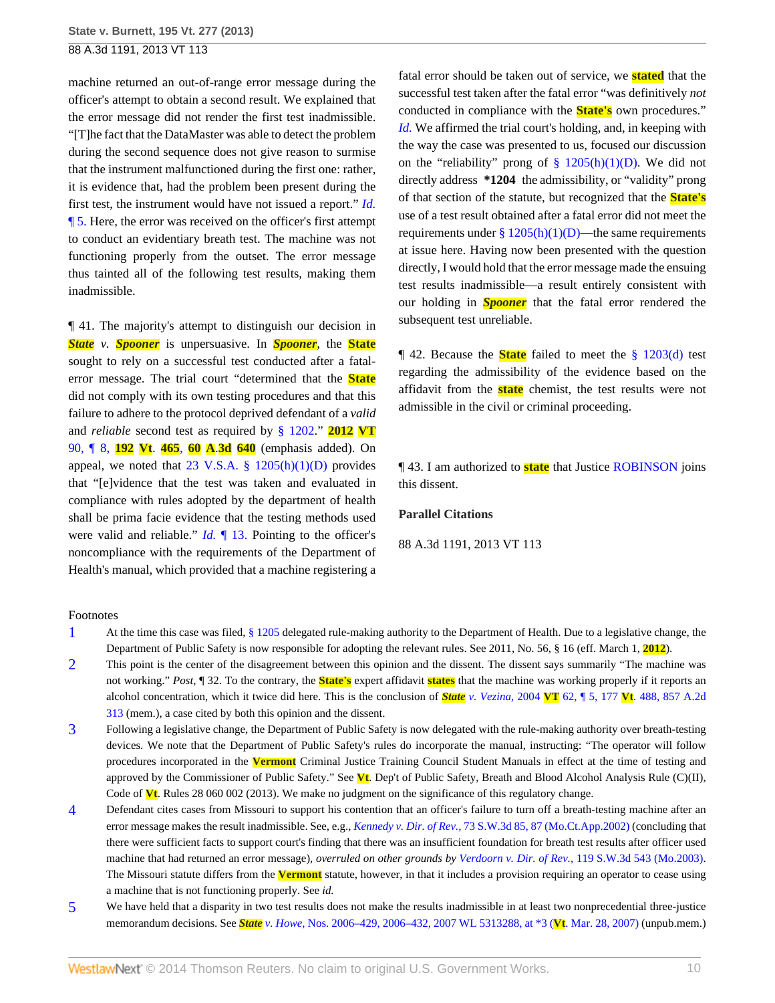machine returned an out-of-range error message during the officer's attempt to obtain a second result. We explained that the error message did not render the first test inadmissible. "[T]he fact that the DataMaster was able to detect the problem during the second sequence does not give reason to surmise that the instrument malfunctioned during the first one: rather, it is evidence that, had the problem been present during the first test, the instrument would have not issued a report." *[Id.](http://www.westlaw.com/Link/Document/FullText?findType=Y&serNum=2004675835&originationContext=document&vr=3.0&rs=cblt1.0&transitionType=DocumentItem&contextData=(sc.Search))* [¶ 5.](http://www.westlaw.com/Link/Document/FullText?findType=Y&serNum=2004675835&originationContext=document&vr=3.0&rs=cblt1.0&transitionType=DocumentItem&contextData=(sc.Search)) Here, the error was received on the officer's first attempt to conduct an evidentiary breath test. The machine was not functioning properly from the outset. The error message thus tainted all of the following test results, making them inadmissible.

¶ 41. The majority's attempt to distinguish our decision in *State v. Spooner* is unpersuasive. In *Spooner,* the **State** sought to rely on a successful test conducted after a fatalerror message. The trial court "determined that the **State** did not comply with its own testing procedures and that this failure to adhere to the protocol deprived defendant of a *valid* and *reliable* second test as required by [§ 1202.](http://www.westlaw.com/Link/Document/FullText?findType=L&pubNum=1000883&cite=VTST23S1202&originatingDoc=I14fa0271576111e3a341ea44e5e1f25f&refType=LQ&originationContext=document&vr=3.0&rs=cblt1.0&transitionType=DocumentItem&contextData=(sc.Search))" **[2012](http://www.westlaw.com/Link/Document/FullText?findType=Y&serNum=2028919961&pubNum=0007691&originationContext=document&vr=3.0&rs=cblt1.0&transitionType=DocumentItem&contextData=(sc.Search)) VT** [90, ¶ 8,](http://www.westlaw.com/Link/Document/FullText?findType=Y&serNum=2028919961&pubNum=0007691&originationContext=document&vr=3.0&rs=cblt1.0&transitionType=DocumentItem&contextData=(sc.Search)) **192 Vt**. **465**, **60 A**.**3d 640** (emphasis added). On appeal, we noted that 23 V.S.A.  $\S$  1205(h)(1)(D) provides that "[e]vidence that the test was taken and evaluated in compliance with rules adopted by the department of health shall be prima facie evidence that the testing methods used were valid and reliable." *Id.* [¶ 13.](http://www.westlaw.com/Link/Document/FullText?findType=Y&serNum=2028919961&originationContext=document&vr=3.0&rs=cblt1.0&transitionType=DocumentItem&contextData=(sc.Search)) Pointing to the officer's noncompliance with the requirements of the Department of Health's manual, which provided that a machine registering a

fatal error should be taken out of service, we **stated** that the successful test taken after the fatal error "was definitively *not* conducted in compliance with the **State's** own procedures." *[Id.](http://www.westlaw.com/Link/Document/FullText?findType=Y&serNum=2028919961&originationContext=document&vr=3.0&rs=cblt1.0&transitionType=DocumentItem&contextData=(sc.Search))* We affirmed the trial court's holding, and, in keeping with the way the case was presented to us, focused our discussion on the "reliability" prong of  $\S$  1205(h)(1)(D). We did not directly address **\*1204** the admissibility, or "validity" prong of that section of the statute, but recognized that the **State's** use of a test result obtained after a fatal error did not meet the requirements under  $\frac{8}{2}$  1205(h)(1)(D)—the same requirements at issue here. Having now been presented with the question directly, I would hold that the error message made the ensuing test results inadmissible—a result entirely consistent with our holding in *Spooner* that the fatal error rendered the subsequent test unreliable.

¶ 42. Because the **State** failed to meet the [§ 1203\(d\)](http://www.westlaw.com/Link/Document/FullText?findType=L&pubNum=1000883&cite=VTST23S1203&originatingDoc=I14fa0271576111e3a341ea44e5e1f25f&refType=SP&originationContext=document&vr=3.0&rs=cblt1.0&transitionType=DocumentItem&contextData=(sc.Search)#co_pp_5ba1000067d06) test regarding the admissibility of the evidence based on the affidavit from the **state** chemist, the test results were not admissible in the civil or criminal proceeding.

¶ 43. I am authorized to **state** that Justice [ROBINSON](http://www.westlaw.com/Link/Document/FullText?findType=h&pubNum=176284&cite=0175240301&originatingDoc=I14fa0271576111e3a341ea44e5e1f25f&refType=RQ&originationContext=document&vr=3.0&rs=cblt1.0&transitionType=DocumentItem&contextData=(sc.Search)) joins this dissent.

## **Parallel Citations**

88 A.3d 1191, 2013 VT 113

#### Footnotes

- <span id="page-9-0"></span>[1](#page-3-0) At the time this case was filed, [§ 1205](http://www.westlaw.com/Link/Document/FullText?findType=L&pubNum=1000883&cite=VTST23S1205&originatingDoc=I14fa0271576111e3a341ea44e5e1f25f&refType=LQ&originationContext=document&vr=3.0&rs=cblt1.0&transitionType=DocumentItem&contextData=(sc.Search)) delegated rule-making authority to the Department of Health. Due to a legislative change, the Department of Public Safety is now responsible for adopting the relevant rules. See 2011, No. 56, § 16 (eff. March 1, **2012**).
- <span id="page-9-1"></span>[2](#page-4-4) This point is the center of the disagreement between this opinion and the dissent. The dissent says summarily "The machine was not working." *Post,* ¶ 32. To the contrary, the **State's** expert affidavit **states** that the machine was working properly if it reports an alcohol concentration, which it twice did here. This is the conclusion of *State v. Vezina,* 2004 **VT** 62, ¶ 5, 177 **Vt**[. 488, 857 A.2d](http://www.westlaw.com/Link/Document/FullText?findType=Y&serNum=2004675835&pubNum=0000162&originationContext=document&vr=3.0&rs=cblt1.0&transitionType=DocumentItem&contextData=(sc.Search)) [313](http://www.westlaw.com/Link/Document/FullText?findType=Y&serNum=2004675835&pubNum=0000162&originationContext=document&vr=3.0&rs=cblt1.0&transitionType=DocumentItem&contextData=(sc.Search)) (mem.), a case cited by both this opinion and the dissent.
- <span id="page-9-2"></span>[3](#page-5-3) Following a legislative change, the Department of Public Safety is now delegated with the rule-making authority over breath-testing devices. We note that the Department of Public Safety's rules do incorporate the manual, instructing: "The operator will follow procedures incorporated in the **Vermont** Criminal Justice Training Council Student Manuals in effect at the time of testing and approved by the Commissioner of Public Safety." See **Vt**. Dep't of Public Safety, Breath and Blood Alcohol Analysis Rule (C)(II), Code of **Vt**. Rules 28 060 002 (2013). We make no judgment on the significance of this regulatory change.
- <span id="page-9-3"></span>[4](#page-5-4) Defendant cites cases from Missouri to support his contention that an officer's failure to turn off a breath-testing machine after an error message makes the result inadmissible. See, e.g., *Kennedy v. Dir. of Rev.,* [73 S.W.3d 85, 87 \(Mo.Ct.App.2002\)](http://www.westlaw.com/Link/Document/FullText?findType=Y&serNum=2002272868&pubNum=0004644&fi=co_pp_sp_4644_87&originationContext=document&vr=3.0&rs=cblt1.0&transitionType=DocumentItem&contextData=(sc.Search)#co_pp_sp_4644_87) (concluding that there were sufficient facts to support court's finding that there was an insufficient foundation for breath test results after officer used machine that had returned an error message), *overruled on other grounds by Verdoorn v. Dir. of Rev.,* [119 S.W.3d 543 \(Mo.2003\).](http://www.westlaw.com/Link/Document/FullText?findType=Y&serNum=2003873683&pubNum=0004644&originationContext=document&vr=3.0&rs=cblt1.0&transitionType=DocumentItem&contextData=(sc.Search)) The Missouri statute differs from the **Vermont** statute, however, in that it includes a provision requiring an operator to cease using a machine that is not functioning properly. See *id.*
- <span id="page-9-4"></span>[5](#page-5-5) We have held that a disparity in two test results does not make the results inadmissible in at least two nonprecedential three-justice memorandum decisions. See *State v. Howe,* [Nos. 2006–429, 2006–432, 2007 WL 5313288, at \\*3 \(](http://www.westlaw.com/Link/Document/FullText?findType=Y&serNum=2016514607&pubNum=0000999&originationContext=document&vr=3.0&rs=cblt1.0&transitionType=DocumentItem&contextData=(sc.Search))**Vt**. Mar. 28, 2007) (unpub.mem.)